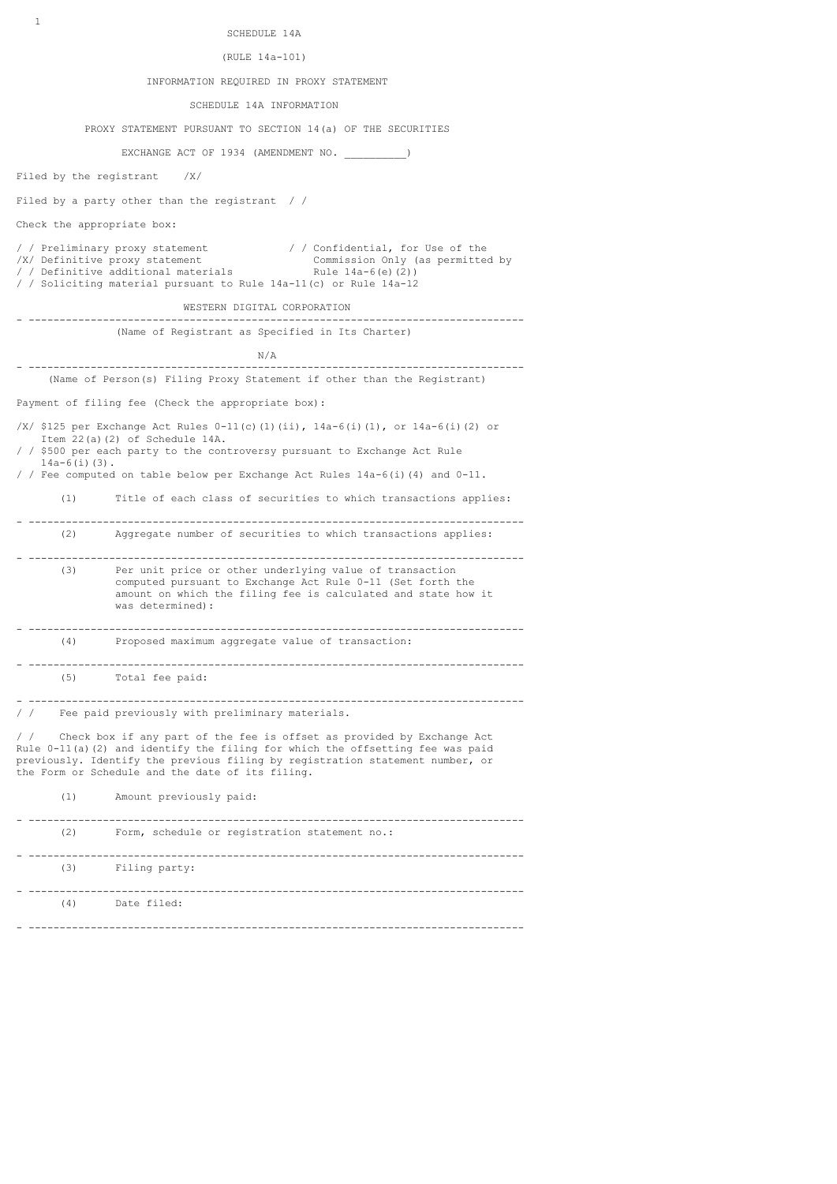| SCHEDULE 14A<br>$\sim$ $\sim$ $\sim$ $\sim$ $\sim$ $\sim$ $\sim$ |  |
|------------------------------------------------------------------|--|
|------------------------------------------------------------------|--|

(RULE 14a-101)

#### INFORMATION REQUIRED IN PROXY STATEMENT

SCHEDULE 14A INFORMATION

PROXY STATEMENT PURSUANT TO SECTION 14(a) OF THE SECURITIES

EXCHANGE ACT OF 1934 (AMENDMENT NO.

Filed by the registrant /X/

Filed by a party other than the registrant / /

Check the appropriate box:

/ / Preliminary proxy statement / / Confidential, for Use of the /X/ Definitive proxy statement Commission Only (as permitted by / / Definitive additional materials Rule 14a-6(e)(2)) / / Soliciting material pursuant to Rule 14a-11(c) or Rule 14a-12

 WESTERN DIGITAL CORPORATION - --------------------------------------------------------------------------------

(Name of Registrant as Specified in Its Charter)

N/A

- -------------------------------------------------------------------------------- (Name of Person(s) Filing Proxy Statement if other than the Registrant)

Payment of filing fee (Check the appropriate box):

/X/ \$125 per Exchange Act Rules 0-11(c)(1)(ii), 14a-6(i)(1), or 14a-6(i)(2) or Item 22(a)(2) of Schedule 14A. / / \$500 per each party to the controversy pursuant to Exchange Act Rule

 14a-6(i)(3). / / Fee computed on table below per Exchange Act Rules 14a-6(i)(4) and 0-11.

(1) Title of each class of securities to which transactions applies:

- -------------------------------------------------------------------------------- (2) Aggregate number of securities to which transactions applies:

- -------------------------------------------------------------------------------- (3) Per unit price or other underlying value of transaction computed pursuant to Exchange Act Rule 0-11 (Set forth the amount on which the filing fee is calculated and state how it was determined): - -------------------------------------------------------------------------------- (4) Proposed maximum aggregate value of transaction:

- -------------------------------------------------------------------------------- (5) Total fee paid:

- -------------------------------------------------------------------------------- / / Fee paid previously with preliminary materials.

/ / Check box if any part of the fee is offset as provided by Exchange Act Rule 0-11(a)(2) and identify the filing for which the offsetting fee was paid previously. Identify the previous filing by registration statement number, or

the Form or Schedule and the date of its filing.

(1) Amount previously paid:

| (2) | Form, schedule or registration statement no.: |
|-----|-----------------------------------------------|
| (3) | Filing party:                                 |
| (4) | Date filed:                                   |

- --------------------------------------------------------------------------------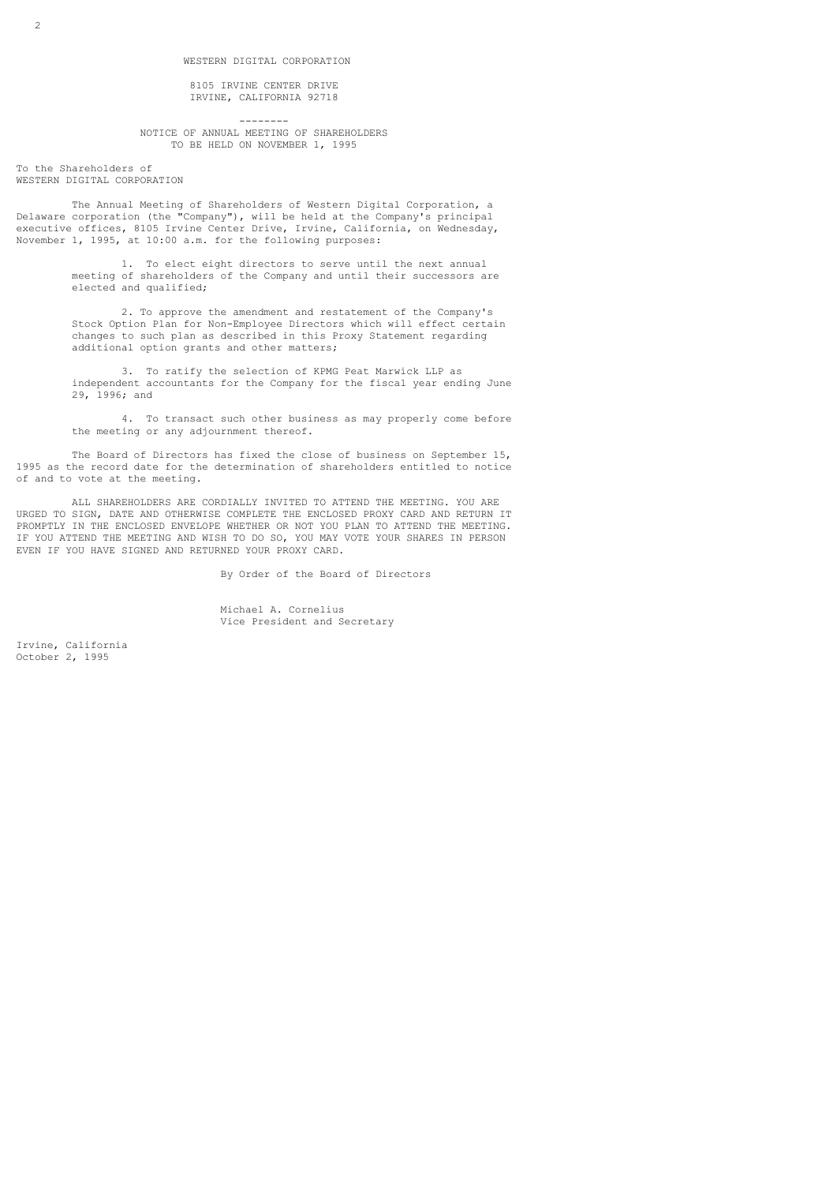8105 IRVINE CENTER DRIVE IRVINE, CALIFORNIA 92718

 -------- NOTICE OF ANNUAL MEETING OF SHAREHOLDERS TO BE HELD ON NOVEMBER 1, 1995

To the Shareholders of WESTERN DIGITAL CORPORATION

 The Annual Meeting of Shareholders of Western Digital Corporation, a Delaware corporation (the "Company"), will be held at the Company's principal executive offices, 8105 Irvine Center Drive, Irvine, California, on Wednesday, November 1, 1995, at 10:00 a.m. for the following purposes:

> 1. To elect eight directors to serve until the next annual meeting of shareholders of the Company and until their successors are elected and qualified;

 2. To approve the amendment and restatement of the Company's Stock Option Plan for Non-Employee Directors which will effect certain changes to such plan as described in this Proxy Statement regarding additional option grants and other matters;

 3. To ratify the selection of KPMG Peat Marwick LLP as independent accountants for the Company for the fiscal year ending June 29, 1996; and

 4. To transact such other business as may properly come before the meeting or any adjournment thereof.

 The Board of Directors has fixed the close of business on September 15, 1995 as the record date for the determination of shareholders entitled to notice of and to vote at the meeting.

 ALL SHAREHOLDERS ARE CORDIALLY INVITED TO ATTEND THE MEETING. YOU ARE URGED TO SIGN, DATE AND OTHERWISE COMPLETE THE ENCLOSED PROXY CARD AND RETURN IT PROMPTLY IN THE ENCLOSED ENVELOPE WHETHER OR NOT YOU PLAN TO ATTEND THE MEETING. IF YOU ATTEND THE MEETING AND WISH TO DO SO, YOU MAY VOTE YOUR SHARES IN PERSON EVEN IF YOU HAVE SIGNED AND RETURNED YOUR PROXY CARD.

By Order of the Board of Directors

 Michael A. Cornelius Vice President and Secretary

Irvine, California October 2, 1995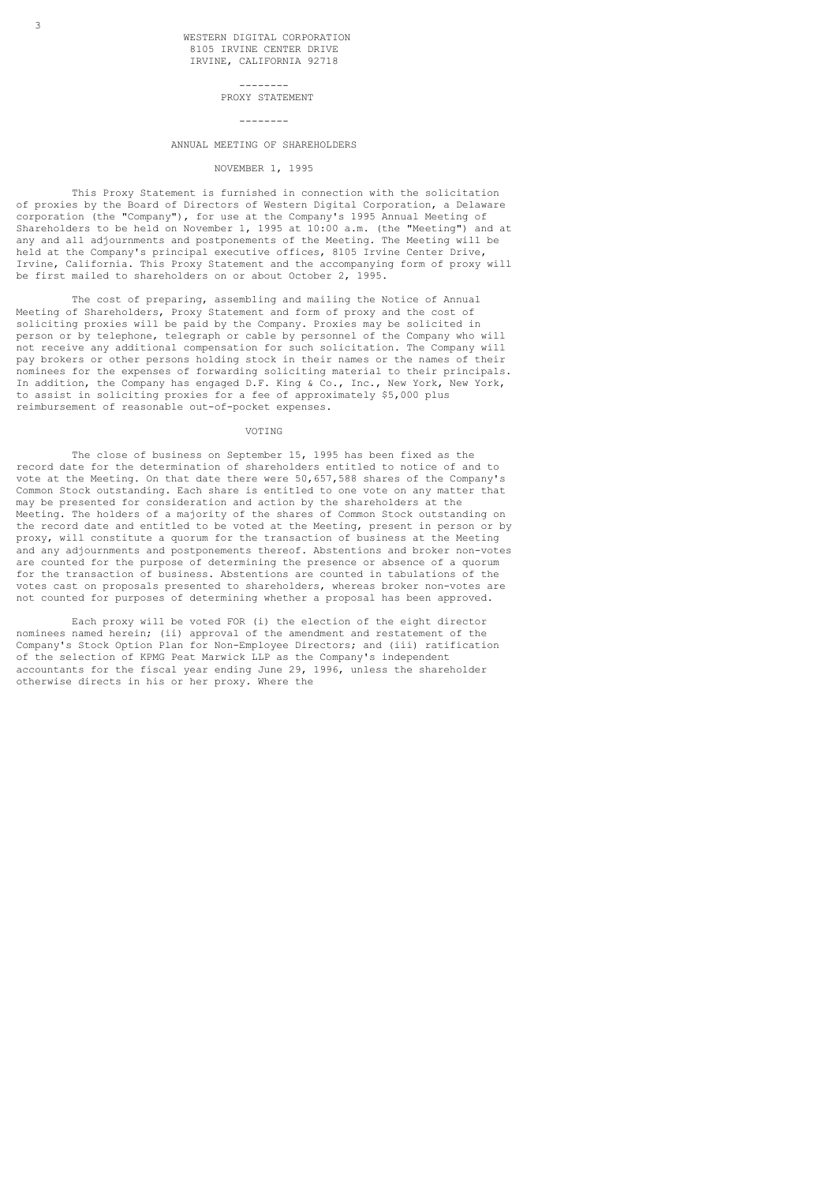#### PROXY STATEMENT

#### --------

--------

## ANNUAL MEETING OF SHAREHOLDERS

### NOVEMBER 1, 1995

 This Proxy Statement is furnished in connection with the solicitation of proxies by the Board of Directors of Western Digital Corporation, a Delaware corporation (the "Company"), for use at the Company's 1995 Annual Meeting of Shareholders to be held on November 1, 1995 at 10:00 a.m. (the "Meeting") and at any and all adjournments and postponements of the Meeting. The Meeting will be held at the Company's principal executive offices, 8105 Irvine Center Drive, Irvine, California. This Proxy Statement and the accompanying form of proxy will be first mailed to shareholders on or about October 2, 1995.

 The cost of preparing, assembling and mailing the Notice of Annual Meeting of Shareholders, Proxy Statement and form of proxy and the cost of soliciting proxies will be paid by the Company. Proxies may be solicited in person or by telephone, telegraph or cable by personnel of the Company who will not receive any additional compensation for such solicitation. The Company will pay brokers or other persons holding stock in their names or the names of their nominees for the expenses of forwarding soliciting material to their principals. In addition, the Company has engaged D.F. King & Co., Inc., New York, New York, to assist in soliciting proxies for a fee of approximately \$5,000 plus reimbursement of reasonable out-of-pocket expenses.

#### VOTING

 The close of business on September 15, 1995 has been fixed as the record date for the determination of shareholders entitled to notice of and to vote at the Meeting. On that date there were 50,657,588 shares of the Company's Common Stock outstanding. Each share is entitled to one vote on any matter that may be presented for consideration and action by the shareholders at the Meeting. The holders of a majority of the shares of Common Stock outstanding on the record date and entitled to be voted at the Meeting, present in person or by proxy, will constitute a quorum for the transaction of business at the Meeting and any adjournments and postponements thereof. Abstentions and broker non-votes are counted for the purpose of determining the presence or absence of a quorum for the transaction of business. Abstentions are counted in tabulations of the votes cast on proposals presented to shareholders, whereas broker non-votes are not counted for purposes of determining whether a proposal has been approved.

 Each proxy will be voted FOR (i) the election of the eight director nominees named herein; (ii) approval of the amendment and restatement of the Company's Stock Option Plan for Non-Employee Directors; and (iii) ratification of the selection of KPMG Peat Marwick LLP as the Company's independent accountants for the fiscal year ending June 29, 1996, unless the shareholder otherwise directs in his or her proxy. Where the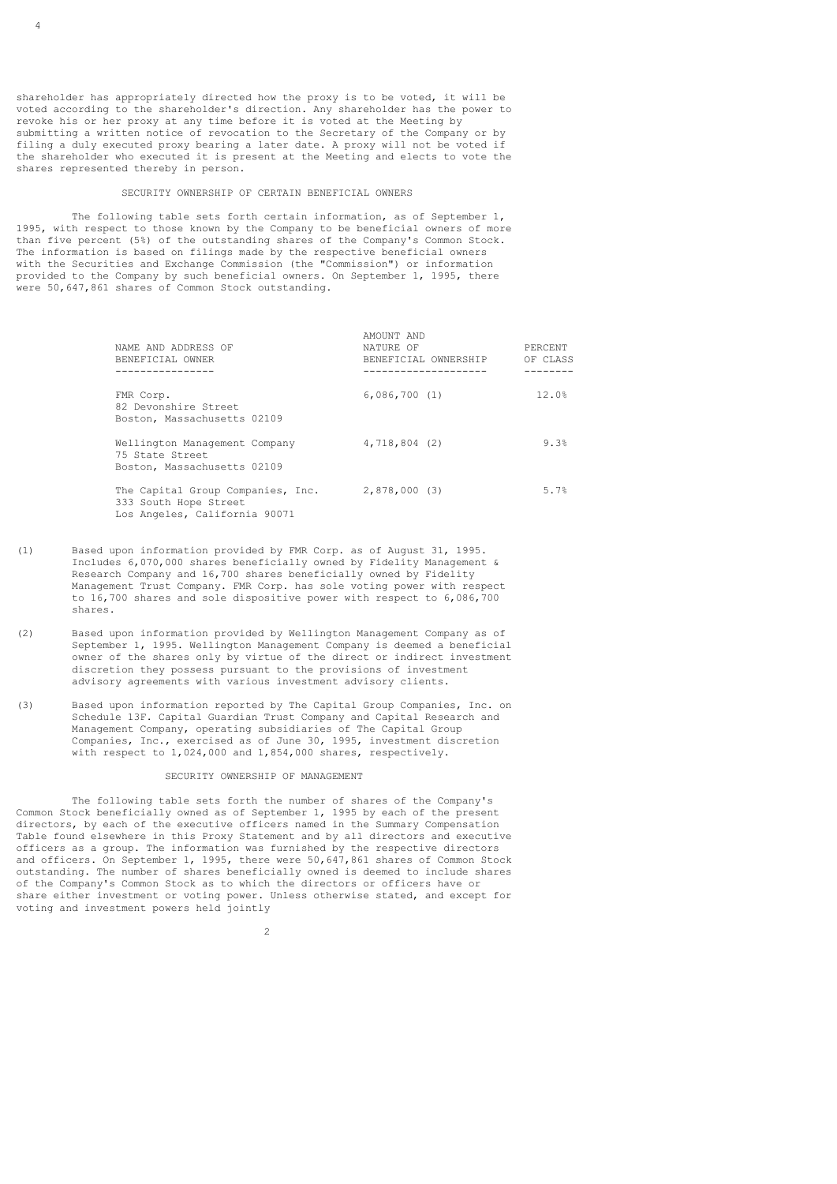shareholder has appropriately directed how the proxy is to be voted, it will be voted according to the shareholder's direction. Any shareholder has the power to revoke his or her proxy at any time before it is voted at the Meeting by submitting a written notice of revocation to the Secretary of the Company or by filing a duly executed proxy bearing a later date. A proxy will not be voted if the shareholder who executed it is present at the Meeting and elects to vote the shares represented thereby in person.

## SECURITY OWNERSHIP OF CERTAIN BENEFICIAL OWNERS

 The following table sets forth certain information, as of September 1, 1995, with respect to those known by the Company to be beneficial owners of more than five percent (5%) of the outstanding shares of the Company's Common Stock. The information is based on filings made by the respective beneficial owners with the Securities and Exchange Commission (the "Commission") or information provided to the Company by such beneficial owners. On September 1, 1995, there were 50,647,861 shares of Common Stock outstanding.

| NAME AND ADDRESS OF<br>BENEFICIAL OWNER                                                     | AMOUNT AND<br>NATURE OF<br>BENEFICIAL OWNERSHIP | PERCENT<br>OF CLASS |
|---------------------------------------------------------------------------------------------|-------------------------------------------------|---------------------|
| FMR Corp.<br>82 Devonshire Street<br>Boston, Massachusetts 02109                            | 6,086,700(1)                                    | 12.0%               |
| Wellington Management Company<br>75 State Street<br>Boston, Massachusetts 02109             | 4,718,804 (2)                                   | 9.3%                |
| The Capital Group Companies, Inc.<br>333 South Hope Street<br>Los Angeles, California 90071 | 2,878,000(3)                                    | 5.7%                |

- (1) Based upon information provided by FMR Corp. as of August 31, 1995. Includes 6,070,000 shares beneficially owned by Fidelity Management & Research Company and 16,700 shares beneficially owned by Fidelity Management Trust Company. FMR Corp. has sole voting power with respect to 16,700 shares and sole dispositive power with respect to 6,086,700 shares.
- (2) Based upon information provided by Wellington Management Company as of September 1, 1995. Wellington Management Company is deemed a beneficial owner of the shares only by virtue of the direct or indirect investment discretion they possess pursuant to the provisions of investment advisory agreements with various investment advisory clients.
- (3) Based upon information reported by The Capital Group Companies, Inc. on Schedule 13F. Capital Guardian Trust Company and Capital Research and Management Company, operating subsidiaries of The Capital Group Companies, Inc., exercised as of June 30, 1995, investment discretion with respect to 1,024,000 and 1,854,000 shares, respectively.

## SECURITY OWNERSHIP OF MANAGEMENT

 The following table sets forth the number of shares of the Company's Common Stock beneficially owned as of September 1, 1995 by each of the present directors, by each of the executive officers named in the Summary Compensation Table found elsewhere in this Proxy Statement and by all directors and executive officers as a group. The information was furnished by the respective directors and officers. On September 1, 1995, there were 50,647,861 shares of Common Stock outstanding. The number of shares beneficially owned is deemed to include shares of the Company's Common Stock as to which the directors or officers have or share either investment or voting power. Unless otherwise stated, and except for voting and investment powers held jointly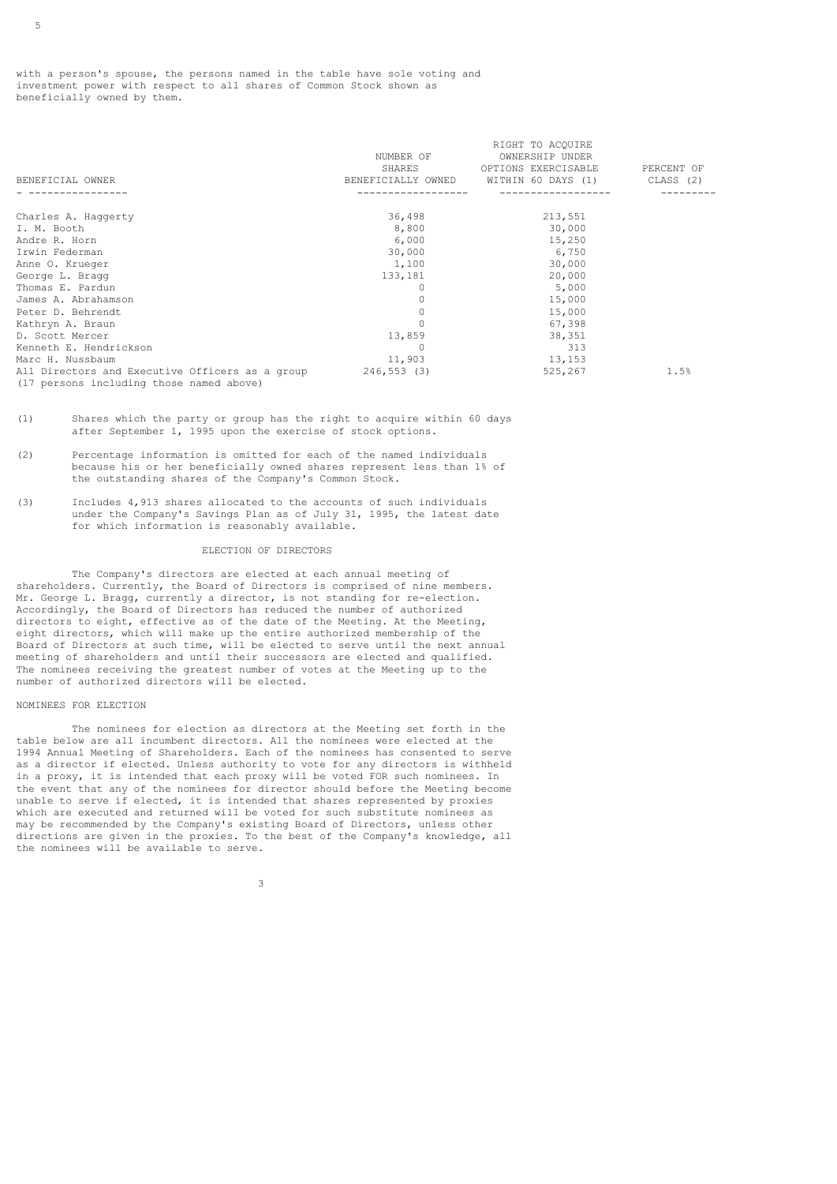with a person's spouse, the persons named in the table have sole voting and investment power with respect to all shares of Common Stock shown as beneficially owned by them.

|                                                             |                    | RIGHT TO ACOUIRE    |            |
|-------------------------------------------------------------|--------------------|---------------------|------------|
|                                                             | NUMBER OF          | OWNERSHIP UNDER     |            |
|                                                             | SHARES             | OPTIONS EXERCISABLE | PERCENT OF |
| BENEFICIAL OWNER                                            | BENEFICIALLY OWNED | WITHIN 60 DAYS (1)  | CLASS (2)  |
|                                                             |                    |                     |            |
| Charles A. Haggerty                                         | 36,498             | 213,551             |            |
| I. M. Booth                                                 | 8,800              | 30,000              |            |
| Andre R. Horn                                               | 6,000              | 15,250              |            |
| Irwin Federman                                              | 30,000             | 6,750               |            |
| Anne O. Krueger                                             | 1,100              | 30,000              |            |
| George L. Bragg                                             | 133,181            | 20,000              |            |
| Thomas E. Pardun                                            | 0                  | 5,000               |            |
| James A. Abrahamson                                         |                    | 15,000              |            |
| Peter D. Behrendt                                           |                    | 15,000              |            |
| Kathryn A. Braun                                            |                    | 67,398              |            |
| D. Scott Mercer                                             | 13,859             | 38,351              |            |
| Kenneth E. Hendrickson                                      | $\Omega$           | 313                 |            |
| Marc H. Nussbaum                                            | 11,903             | 13,153              |            |
| All Directors and Executive Officers as a group 246,553 (3) |                    | 525,267             | 1.5%       |
| (17 persons including those named above)                    |                    |                     |            |

<sup>(1)</sup> Shares which the party or group has the right to acquire within 60 days after September 1, 1995 upon the exercise of stock options.

- (2) Percentage information is omitted for each of the named individuals because his or her beneficially owned shares represent less than 1% of the outstanding shares of the Company's Common Stock.
- (3) Includes 4,913 shares allocated to the accounts of such individuals under the Company's Savings Plan as of July 31, 1995, the latest date for which information is reasonably available.

## ELECTION OF DIRECTORS

 The Company's directors are elected at each annual meeting of shareholders. Currently, the Board of Directors is comprised of nine members. Mr. George L. Bragg, currently a director, is not standing for re-election. Accordingly, the Board of Directors has reduced the number of authorized directors to eight, effective as of the date of the Meeting. At the Meeting, eight directors, which will make up the entire authorized membership of the Board of Directors at such time, will be elected to serve until the next annual meeting of shareholders and until their successors are elected and qualified. The nominees receiving the greatest number of votes at the Meeting up to the number of authorized directors will be elected.

#### NOMINEES FOR ELECTION

 The nominees for election as directors at the Meeting set forth in the table below are all incumbent directors. All the nominees were elected at the 1994 Annual Meeting of Shareholders. Each of the nominees has consented to serve as a director if elected. Unless authority to vote for any directors is withheld in a proxy, it is intended that each proxy will be voted FOR such nominees. In the event that any of the nominees for director should before the Meeting become unable to serve if elected, it is intended that shares represented by proxies which are executed and returned will be voted for such substitute nominees as may be recommended by the Company's existing Board of Directors, unless other directions are given in the proxies. To the best of the Company's knowledge, all the nominees will be available to serve.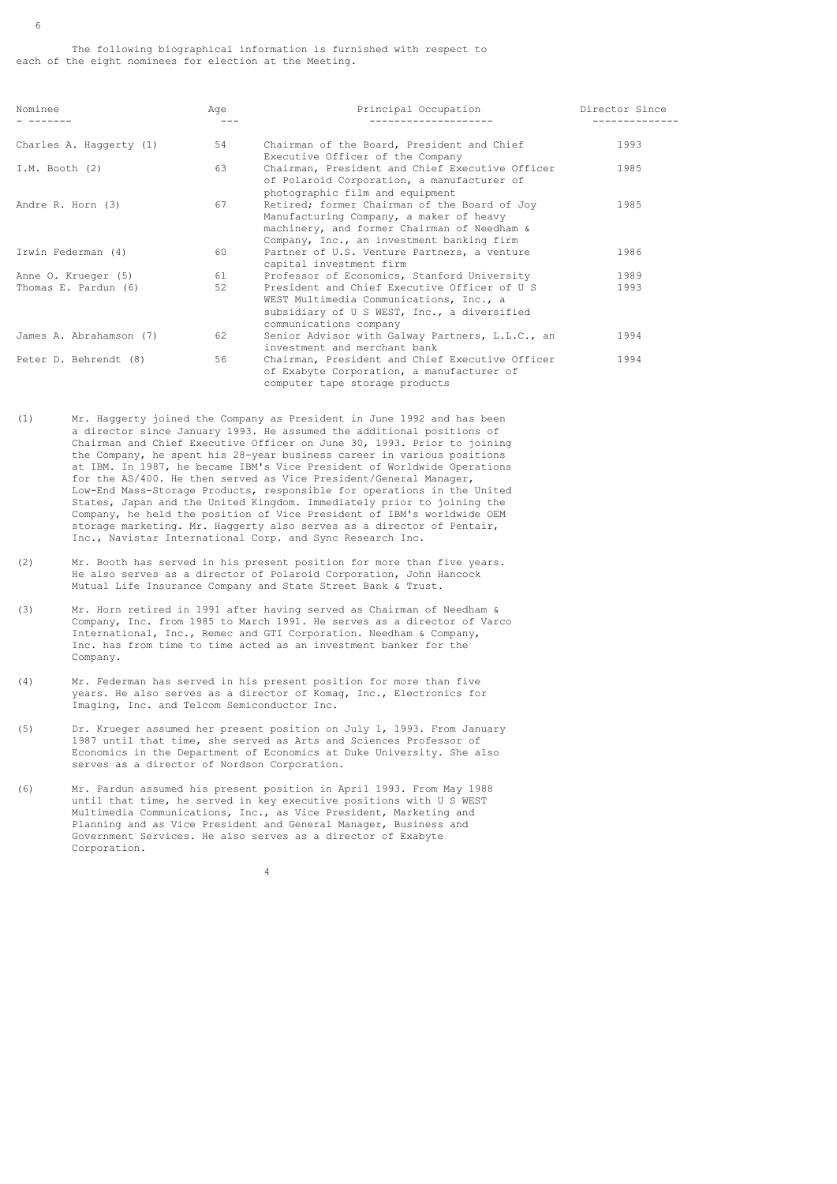| Nominee                 | Aqe | Principal Occupation                                                                                                                                                                | Director Since |
|-------------------------|-----|-------------------------------------------------------------------------------------------------------------------------------------------------------------------------------------|----------------|
| Charles A. Haggerty (1) | 54  | Chairman of the Board, President and Chief<br>Executive Officer of the Company                                                                                                      | 1993           |
| $I.M.$ Booth $(2)$      | 63  | Chairman, President and Chief Executive Officer<br>of Polaroid Corporation, a manufacturer of<br>photographic film and equipment                                                    | 1985           |
| Andre R. Horn (3)       | 67  | Retired; former Chairman of the Board of Joy<br>Manufacturing Company, a maker of heavy<br>machinery, and former Chairman of Needham &<br>Company, Inc., an investment banking firm | 1985           |
| Irwin Federman (4)      | 60  | Partner of U.S. Venture Partners, a venture<br>capital investment firm                                                                                                              | 1986           |
| Anne O. Krueger (5)     | 61  | Professor of Economics, Stanford University                                                                                                                                         | 1989           |
| Thomas E. Pardun (6)    | 52  | President and Chief Executive Officer of U S<br>WEST Multimedia Communications, Inc., a<br>subsidiary of U S WEST, Inc., a diversified<br>communications company                    | 1993           |
| James A. Abrahamson (7) | 62  | Senior Advisor with Galway Partners, L.L.C., an<br>investment and merchant bank                                                                                                     | 1994           |
| Peter D. Behrendt (8)   | 56  | Chairman, President and Chief Executive Officer<br>of Exabyte Corporation, a manufacturer of<br>computer tape storage products                                                      | 1994           |

- (1) Mr. Haggerty joined the Company as President in June 1992 and has been a director since January 1993. He assumed the additional positions of Chairman and Chief Executive Officer on June 30, 1993. Prior to joining the Company, he spent his 28-year business career in various positions at IBM. In 1987, he became IBM's Vice President of Worldwide Operations for the AS/400. He then served as Vice President/General Manager, Low-End Mass-Storage Products, responsible for operations in the United States, Japan and the United Kingdom. Immediately prior to joining the Company, he held the position of Vice President of IBM's worldwide OEM storage marketing. Mr. Haggerty also serves as a director of Pentair, Inc., Navistar International Corp. and Sync Research Inc.
- (2) Mr. Booth has served in his present position for more than five years. He also serves as a director of Polaroid Corporation, John Hancock Mutual Life Insurance Company and State Street Bank & Trust.
- (3) Mr. Horn retired in 1991 after having served as Chairman of Needham & Company, Inc. from 1985 to March 1991. He serves as a director of Varco International, Inc., Remec and GTI Corporation. Needham & Company, Inc. has from time to time acted as an investment banker for the Company.
- (4) Mr. Federman has served in his present position for more than five years. He also serves as a director of Komag, Inc., Electronics for Imaging, Inc. and Telcom Semiconductor Inc.
- (5) Dr. Krueger assumed her present position on July 1, 1993. From January 1987 until that time, she served as Arts and Sciences Professor of Economics in the Department of Economics at Duke University. She also serves as a director of Nordson Corporation.
- (6) Mr. Pardun assumed his present position in April 1993. From May 1988 until that time, he served in key executive positions with U S WEST Multimedia Communications, Inc., as Vice President, Marketing and Planning and as Vice President and General Manager, Business and Government Services. He also serves as a director of Exabyte Corporation.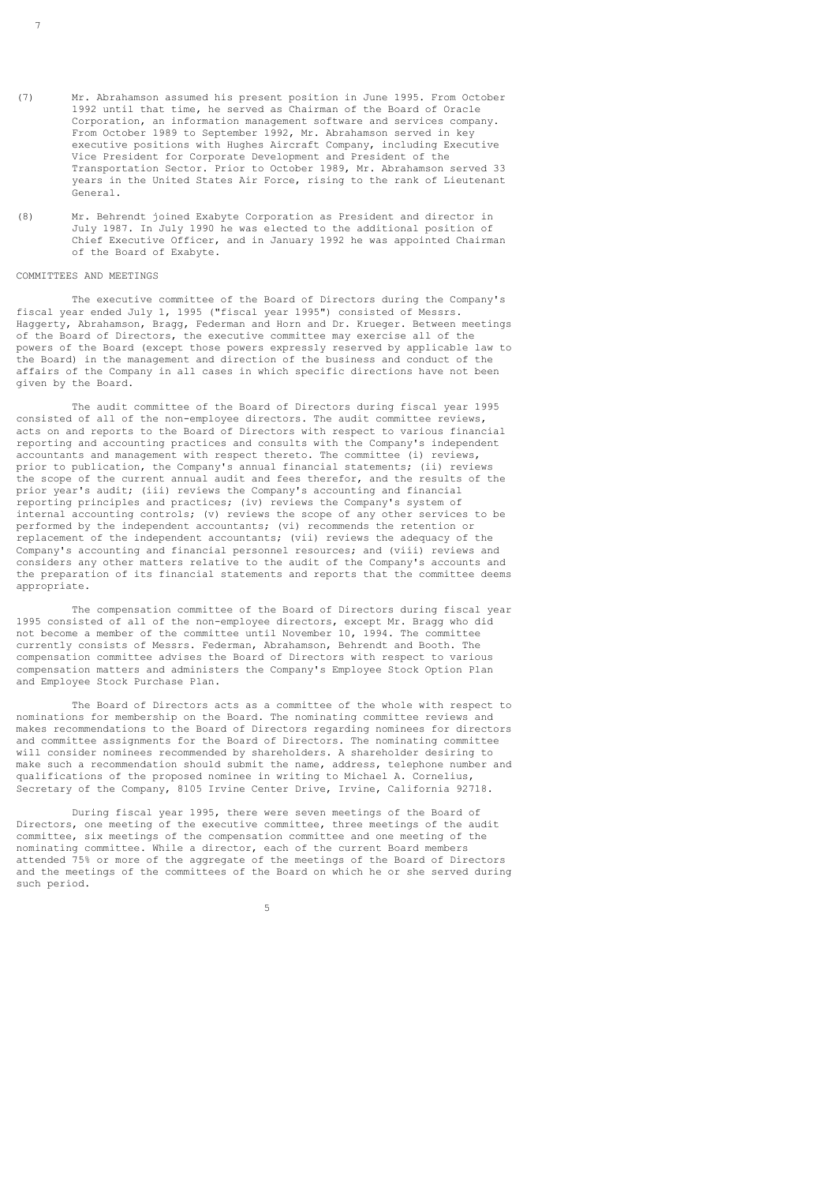- (7) Mr. Abrahamson assumed his present position in June 1995. From October 1992 until that time, he served as Chairman of the Board of Oracle Corporation, an information management software and services company. From October 1989 to September 1992, Mr. Abrahamson served in key executive positions with Hughes Aircraft Company, including Executive Vice President for Corporate Development and President of the Transportation Sector. Prior to October 1989, Mr. Abrahamson served 33 years in the United States Air Force, rising to the rank of Lieutenant General.
- (8) Mr. Behrendt joined Exabyte Corporation as President and director in July 1987. In July 1990 he was elected to the additional position of Chief Executive Officer, and in January 1992 he was appointed Chairman of the Board of Exabyte.

## COMMITTEES AND MEETINGS

7

 The executive committee of the Board of Directors during the Company's fiscal year ended July 1, 1995 ("fiscal year 1995") consisted of Messrs. Haggerty, Abrahamson, Bragg, Federman and Horn and Dr. Krueger. Between meetings of the Board of Directors, the executive committee may exercise all of the powers of the Board (except those powers expressly reserved by applicable law to the Board) in the management and direction of the business and conduct of the affairs of the Company in all cases in which specific directions have not been given by the Board.

 The audit committee of the Board of Directors during fiscal year 1995 consisted of all of the non-employee directors. The audit committee reviews, acts on and reports to the Board of Directors with respect to various financial reporting and accounting practices and consults with the Company's independent accountants and management with respect thereto. The committee (i) reviews, prior to publication, the Company's annual financial statements; (ii) reviews the scope of the current annual audit and fees therefor, and the results of the prior year's audit; (iii) reviews the Company's accounting and financial reporting principles and practices; (iv) reviews the Company's system of internal accounting controls; (v) reviews the scope of any other services to be performed by the independent accountants; (vi) recommends the retention or replacement of the independent accountants; (vii) reviews the adequacy of the Company's accounting and financial personnel resources; and (viii) reviews and considers any other matters relative to the audit of the Company's accounts and the preparation of its financial statements and reports that the committee deems appropriate.

 The compensation committee of the Board of Directors during fiscal year 1995 consisted of all of the non-employee directors, except Mr. Bragg who did not become a member of the committee until November 10, 1994. The committee currently consists of Messrs. Federman, Abrahamson, Behrendt and Booth. The compensation committee advises the Board of Directors with respect to various compensation matters and administers the Company's Employee Stock Option Plan and Employee Stock Purchase Plan.

 The Board of Directors acts as a committee of the whole with respect to nominations for membership on the Board. The nominating committee reviews and makes recommendations to the Board of Directors regarding nominees for directors and committee assignments for the Board of Directors. The nominating committee will consider nominees recommended by shareholders. A shareholder desiring to make such a recommendation should submit the name, address, telephone number and qualifications of the proposed nominee in writing to Michael A. Cornelius, Secretary of the Company, 8105 Irvine Center Drive, Irvine, California 92718.

 During fiscal year 1995, there were seven meetings of the Board of Directors, one meeting of the executive committee, three meetings of the audit committee, six meetings of the compensation committee and one meeting of the nominating committee. While a director, each of the current Board members attended 75% or more of the aggregate of the meetings of the Board of Directors and the meetings of the committees of the Board on which he or she served during such period.

the contract of the contract of the contract of the contract of the contract of the contract of the contract of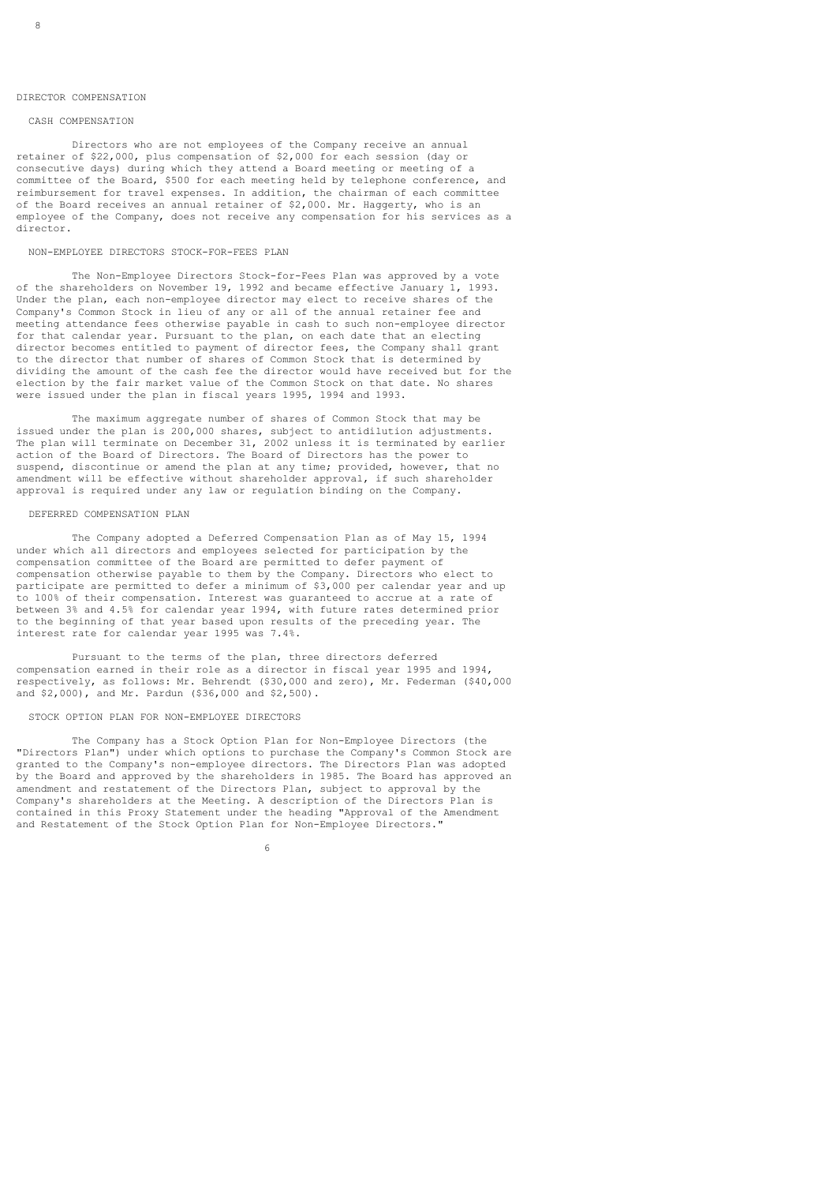#### DIRECTOR COMPENSATION

## CASH COMPENSATION

 Directors who are not employees of the Company receive an annual retainer of \$22,000, plus compensation of \$2,000 for each session (day or consecutive days) during which they attend a Board meeting or meeting of a committee of the Board, \$500 for each meeting held by telephone conference, and reimbursement for travel expenses. In addition, the chairman of each committee of the Board receives an annual retainer of \$2,000. Mr. Haggerty, who is an employee of the Company, does not receive any compensation for his services as a director.

## NON-EMPLOYEE DIRECTORS STOCK-FOR-FEES PLAN

 The Non-Employee Directors Stock-for-Fees Plan was approved by a vote of the shareholders on November 19, 1992 and became effective January 1, 1993. Under the plan, each non-employee director may elect to receive shares of the Company's Common Stock in lieu of any or all of the annual retainer fee and meeting attendance fees otherwise payable in cash to such non-employee director for that calendar year. Pursuant to the plan, on each date that an electing director becomes entitled to payment of director fees, the Company shall grant to the director that number of shares of Common Stock that is determined by dividing the amount of the cash fee the director would have received but for the election by the fair market value of the Common Stock on that date. No shares were issued under the plan in fiscal years 1995, 1994 and 1993.

 The maximum aggregate number of shares of Common Stock that may be issued under the plan is 200,000 shares, subject to antidilution adjustments. The plan will terminate on December 31, 2002 unless it is terminated by earlier action of the Board of Directors. The Board of Directors has the power to suspend, discontinue or amend the plan at any time; provided, however, that no amendment will be effective without shareholder approval, if such shareholder approval is required under any law or regulation binding on the Company.

## DEFERRED COMPENSATION PLAN

 The Company adopted a Deferred Compensation Plan as of May 15, 1994 under which all directors and employees selected for participation by the compensation committee of the Board are permitted to defer payment of compensation otherwise payable to them by the Company. Directors who elect to participate are permitted to defer a minimum of \$3,000 per calendar year and up to 100% of their compensation. Interest was guaranteed to accrue at a rate of between 3% and 4.5% for calendar year 1994, with future rates determined prior to the beginning of that year based upon results of the preceding year. The interest rate for calendar year 1995 was 7.4%.

 Pursuant to the terms of the plan, three directors deferred compensation earned in their role as a director in fiscal year 1995 and 1994, respectively, as follows: Mr. Behrendt (\$30,000 and zero), Mr. Federman (\$40,000 and \$2,000), and Mr. Pardun (\$36,000 and \$2,500).

#### STOCK OPTION PLAN FOR NON-EMPLOYEE DIRECTORS

 The Company has a Stock Option Plan for Non-Employee Directors (the "Directors Plan") under which options to purchase the Company's Common Stock are granted to the Company's non-employee directors. The Directors Plan was adopted by the Board and approved by the shareholders in 1985. The Board has approved an amendment and restatement of the Directors Plan, subject to approval by the Company's shareholders at the Meeting. A description of the Directors Plan is contained in this Proxy Statement under the heading "Approval of the Amendment and Restatement of the Stock Option Plan for Non-Employee Directors."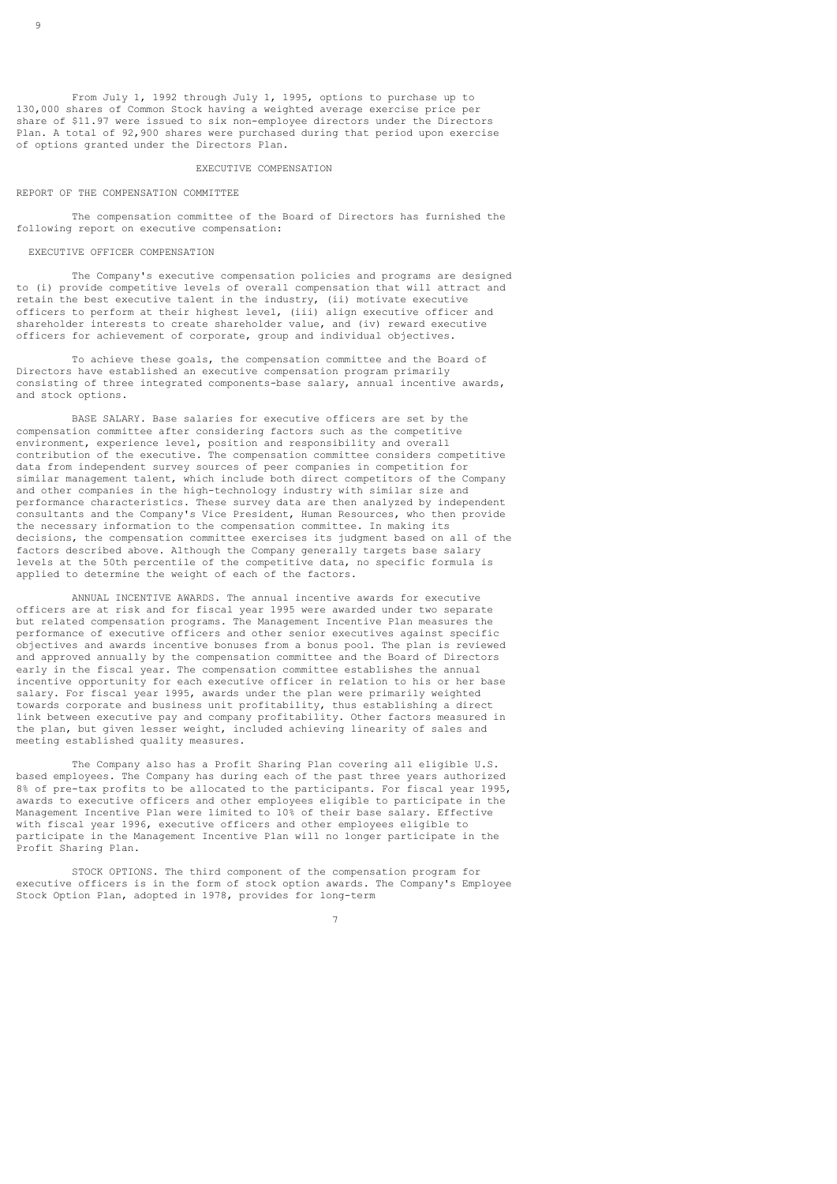From July 1, 1992 through July 1, 1995, options to purchase up to 130,000 shares of Common Stock having a weighted average exercise price per share of \$11.97 were issued to six non-employee directors under the Directors Plan. A total of 92,900 shares were purchased during that period upon exercise of options granted under the Directors Plan.

#### EXECUTIVE COMPENSATION

#### REPORT OF THE COMPENSATION COMMITTEE

 The compensation committee of the Board of Directors has furnished the following report on executive compensation:

## EXECUTIVE OFFICER COMPENSATION

 The Company's executive compensation policies and programs are designed to (i) provide competitive levels of overall compensation that will attract and retain the best executive talent in the industry, (ii) motivate executive officers to perform at their highest level, (iii) align executive officer and shareholder interests to create shareholder value, and (iv) reward executive officers for achievement of corporate, group and individual objectives.

 To achieve these goals, the compensation committee and the Board of Directors have established an executive compensation program primarily consisting of three integrated components-base salary, annual incentive awards, and stock options.

 BASE SALARY. Base salaries for executive officers are set by the compensation committee after considering factors such as the competitive environment, experience level, position and responsibility and overall contribution of the executive. The compensation committee considers competitive data from independent survey sources of peer companies in competition for similar management talent, which include both direct competitors of the Company and other companies in the high-technology industry with similar size and performance characteristics. These survey data are then analyzed by independent consultants and the Company's Vice President, Human Resources, who then provide the necessary information to the compensation committee. In making its decisions, the compensation committee exercises its judgment based on all of the factors described above. Although the Company generally targets base salary levels at the 50th percentile of the competitive data, no specific formula is applied to determine the weight of each of the factors.

 ANNUAL INCENTIVE AWARDS. The annual incentive awards for executive officers are at risk and for fiscal year 1995 were awarded under two separate but related compensation programs. The Management Incentive Plan measures the performance of executive officers and other senior executives against specific objectives and awards incentive bonuses from a bonus pool. The plan is reviewed and approved annually by the compensation committee and the Board of Directors early in the fiscal year. The compensation committee establishes the annual incentive opportunity for each executive officer in relation to his or her base salary. For fiscal year 1995, awards under the plan were primarily weighted towards corporate and business unit profitability, thus establishing a direct link between executive pay and company profitability. Other factors measured in the plan, but given lesser weight, included achieving linearity of sales and meeting established quality measures.

 The Company also has a Profit Sharing Plan covering all eligible U.S. based employees. The Company has during each of the past three years authorized 8% of pre-tax profits to be allocated to the participants. For fiscal year 1995, awards to executive officers and other employees eligible to participate in the Management Incentive Plan were limited to 10% of their base salary. Effective with fiscal year 1996, executive officers and other employees eligible to participate in the Management Incentive Plan will no longer participate in the Profit Sharing Plan.

 STOCK OPTIONS. The third component of the compensation program for executive officers is in the form of stock option awards. The Company's Employee Stock Option Plan, adopted in 1978, provides for long-term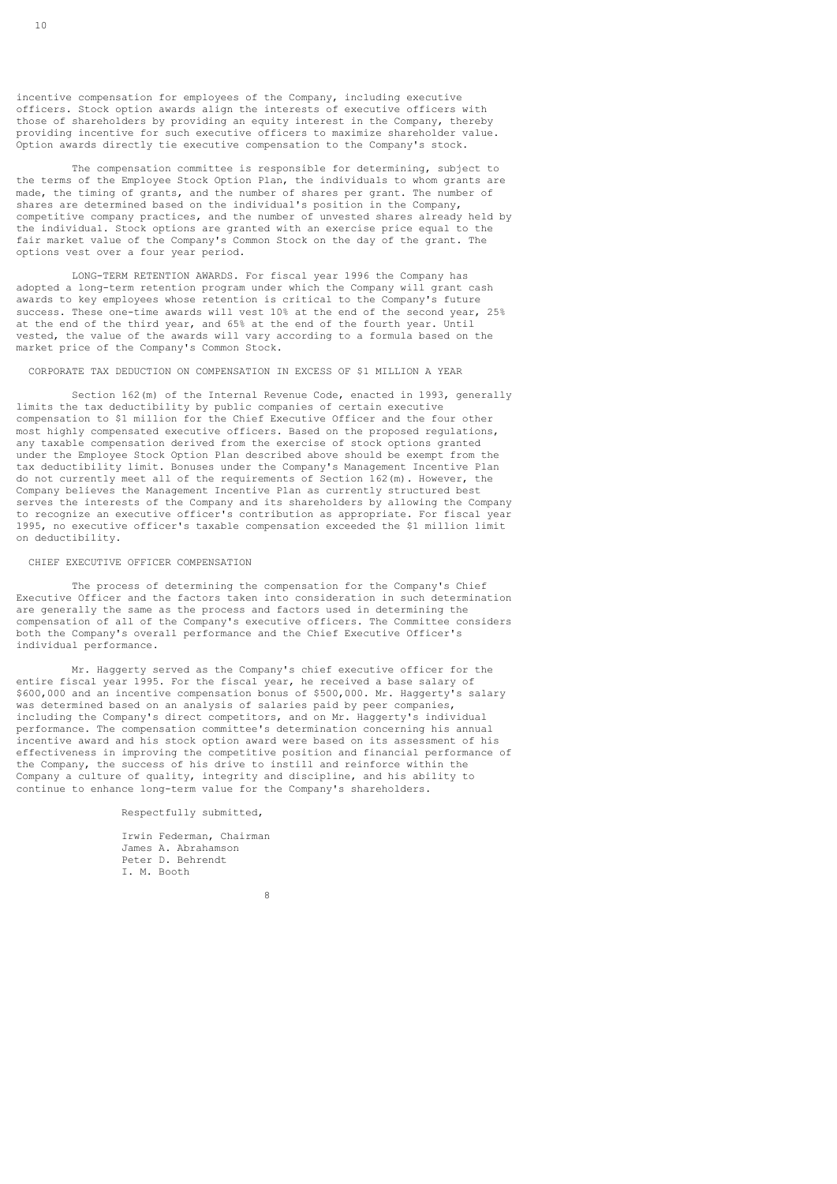incentive compensation for employees of the Company, including executive officers. Stock option awards align the interests of executive officers with those of shareholders by providing an equity interest in the Company, thereby providing incentive for such executive officers to maximize shareholder value. Option awards directly tie executive compensation to the Company's stock.

 The compensation committee is responsible for determining, subject to the terms of the Employee Stock Option Plan, the individuals to whom grants are made, the timing of grants, and the number of shares per grant. The number of shares are determined based on the individual's position in the Company, competitive company practices, and the number of unvested shares already held by the individual. Stock options are granted with an exercise price equal to the fair market value of the Company's Common Stock on the day of the grant. The options vest over a four year period.

 LONG-TERM RETENTION AWARDS. For fiscal year 1996 the Company has adopted a long-term retention program under which the Company will grant cash awards to key employees whose retention is critical to the Company's future success. These one-time awards will vest 10% at the end of the second year, 25% at the end of the third year, and 65% at the end of the fourth year. Until vested, the value of the awards will vary according to a formula based on the market price of the Company's Common Stock.

CORPORATE TAX DEDUCTION ON COMPENSATION IN EXCESS OF \$1 MILLION A YEAR

 Section 162(m) of the Internal Revenue Code, enacted in 1993, generally limits the tax deductibility by public companies of certain executive compensation to \$1 million for the Chief Executive Officer and the four other most highly compensated executive officers. Based on the proposed regulations, any taxable compensation derived from the exercise of stock options granted under the Employee Stock Option Plan described above should be exempt from the tax deductibility limit. Bonuses under the Company's Management Incentive Plan do not currently meet all of the requirements of Section 162(m). However, the Company believes the Management Incentive Plan as currently structured best serves the interests of the Company and its shareholders by allowing the Company to recognize an executive officer's contribution as appropriate. For fiscal year 1995, no executive officer's taxable compensation exceeded the \$1 million limit on deductibility.

## CHIEF EXECUTIVE OFFICER COMPENSATION

 The process of determining the compensation for the Company's Chief Executive Officer and the factors taken into consideration in such determination are generally the same as the process and factors used in determining the compensation of all of the Company's executive officers. The Committee considers both the Company's overall performance and the Chief Executive Officer's individual performance.

 Mr. Haggerty served as the Company's chief executive officer for the entire fiscal year 1995. For the fiscal year, he received a base salary of \$600,000 and an incentive compensation bonus of \$500,000. Mr. Haggerty's salary was determined based on an analysis of salaries paid by peer companies, including the Company's direct competitors, and on Mr. Haggerty's individual performance. The compensation committee's determination concerning his annual incentive award and his stock option award were based on its assessment of his effectiveness in improving the competitive position and financial performance of the Company, the success of his drive to instill and reinforce within the Company a culture of quality, integrity and discipline, and his ability to continue to enhance long-term value for the Company's shareholders.

Respectfully submitted,

 Irwin Federman, Chairman James A. Abrahamson Peter D. Behrendt I. M. Booth

en andere de la provincia de la provincia de la provincia de la provincia de la provincia de la provincia del<br>Segundo de la provincia de la provincia de la provincia de la provincia de la provincia de la provincia de la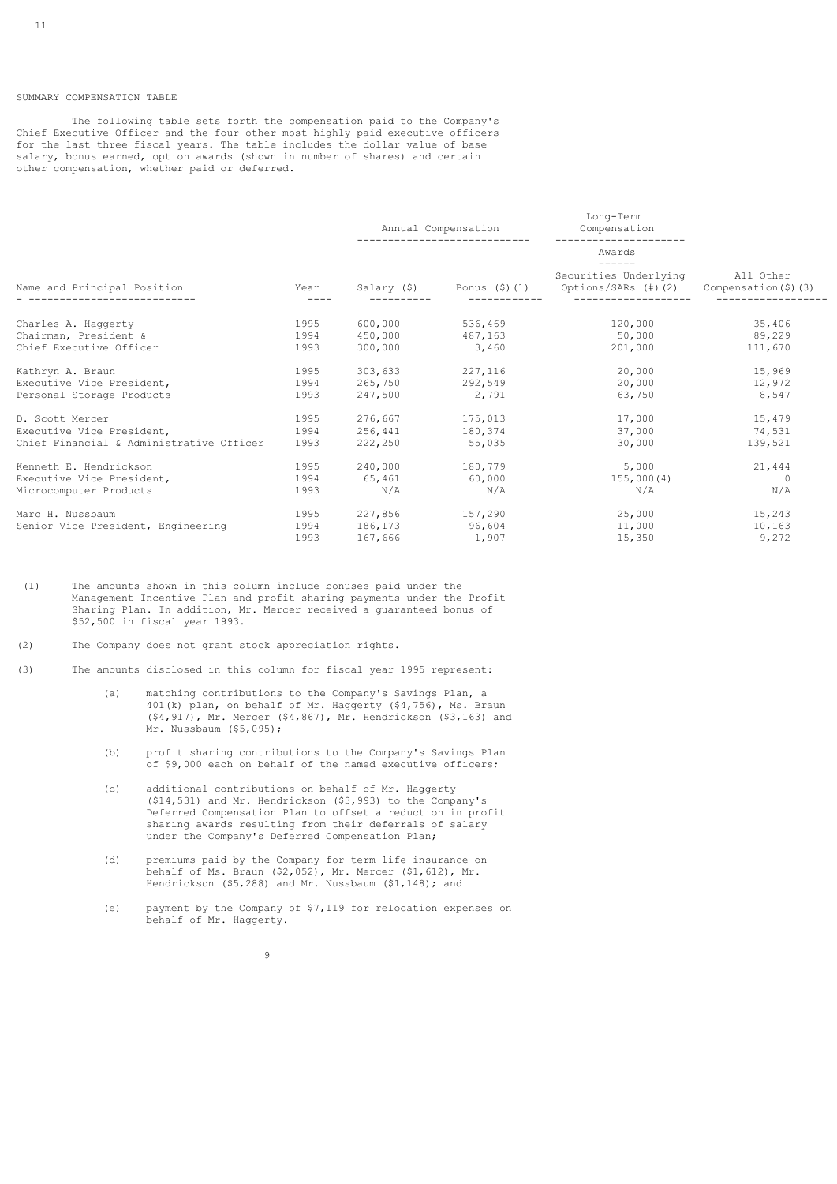## SUMMARY COMPENSATION TABLE

 The following table sets forth the compensation paid to the Company's Chief Executive Officer and the four other most highly paid executive officers for the last three fiscal years. The table includes the dollar value of base salary, bonus earned, option awards (shown in number of shares) and certain other compensation, whether paid or deferred.

|                                                               |      | Annual Compensation |                 | Long-Term<br>Compensation                                                                                                   |                |
|---------------------------------------------------------------|------|---------------------|-----------------|-----------------------------------------------------------------------------------------------------------------------------|----------------|
|                                                               |      |                     |                 | Awards<br>$- - - - - -$                                                                                                     |                |
| Name and Principal Position<br>______________________________ | Year | -----------         |                 | Securities Underlying<br>Salary $(\hat{\xi})$ Bonus $(\hat{\xi})$ (1) Options/SARs $(\#)(2)$ Compensation $(\hat{\xi})$ (3) | All Other      |
| Charles A. Haggerty                                           | 1995 |                     | 600,000 536,469 |                                                                                                                             | 120,000 35,406 |
| Chairman, President &                                         | 1994 |                     | 450,000 487,163 | 50,000                                                                                                                      | 89,229         |
| Chief Executive Officer                                       | 1993 | 300,000 3,460       |                 | 201,000                                                                                                                     | 111,670        |
| Kathryn A. Braun                                              | 1995 | 303,633 227,116     |                 | 20,000                                                                                                                      | 15,969         |
| Executive Vice President,                                     | 1994 | 265,750 292,549     |                 | 20,000                                                                                                                      | 12,972         |
| Personal Storage Products                                     | 1993 | 247,500             | 2,791           | 63,750                                                                                                                      | 8,547          |
| D. Scott Mercer                                               | 1995 | 276,667 175,013     |                 | 17,000                                                                                                                      | 15,479         |
| Executive Vice President,                                     | 1994 | 256,441 180,374     |                 | 37,000                                                                                                                      | 74,531         |
| Chief Financial & Administrative Officer                      | 1993 | 222,250 55,035      |                 | 30,000                                                                                                                      | 139,521        |
| Kenneth E. Hendrickson                                        | 1995 | 240,000 180,779     |                 | 5,000                                                                                                                       | 21,444         |
| Executive Vice President,                                     | 1994 | 65,461 60,000       |                 | 155,000(4)                                                                                                                  | $\Omega$       |
| Microcomputer Products                                        | 1993 | N/A                 | N/A             | N/A                                                                                                                         | N/A            |
| Marc H. Nussbaum                                              | 1995 | 227,856 157,290     |                 | 25,000                                                                                                                      | 15,243         |
| Senior Vice President, Engineering                            | 1994 | 186,173 96,604      |                 | 11,000                                                                                                                      | 10,163         |
|                                                               | 1993 | 167,666 1,907       |                 | 15,350                                                                                                                      | 9,272          |

- (1) The amounts shown in this column include bonuses paid under the Management Incentive Plan and profit sharing payments under the Profit Sharing Plan. In addition, Mr. Mercer received a guaranteed bonus of \$52,500 in fiscal year 1993.
- (2) The Company does not grant stock appreciation rights.
- (3) The amounts disclosed in this column for fiscal year 1995 represent:
	- (a) matching contributions to the Company's Savings Plan, a 401(k) plan, on behalf of Mr. Haggerty (\$4,756), Ms. Braun (\$4,917), Mr. Mercer (\$4,867), Mr. Hendrickson (\$3,163) and Mr. Nussbaum (\$5,095);
	- (b) profit sharing contributions to the Company's Savings Plan of \$9,000 each on behalf of the named executive officers;
	- (c) additional contributions on behalf of Mr. Haggerty (\$14,531) and Mr. Hendrickson (\$3,993) to the Company's Deferred Compensation Plan to offset a reduction in profit sharing awards resulting from their deferrals of salary under the Company's Deferred Compensation Plan;
	- (d) premiums paid by the Company for term life insurance on behalf of Ms. Braun  $(\frac{2}{62}, 052)$ , Mr. Mercer  $(\frac{21}{612})$ , Mr. Hendrickson (\$5,288) and Mr. Nussbaum (\$1,148); and
	- (e) payment by the Company of \$7,119 for relocation expenses on behalf of Mr. Haggerty.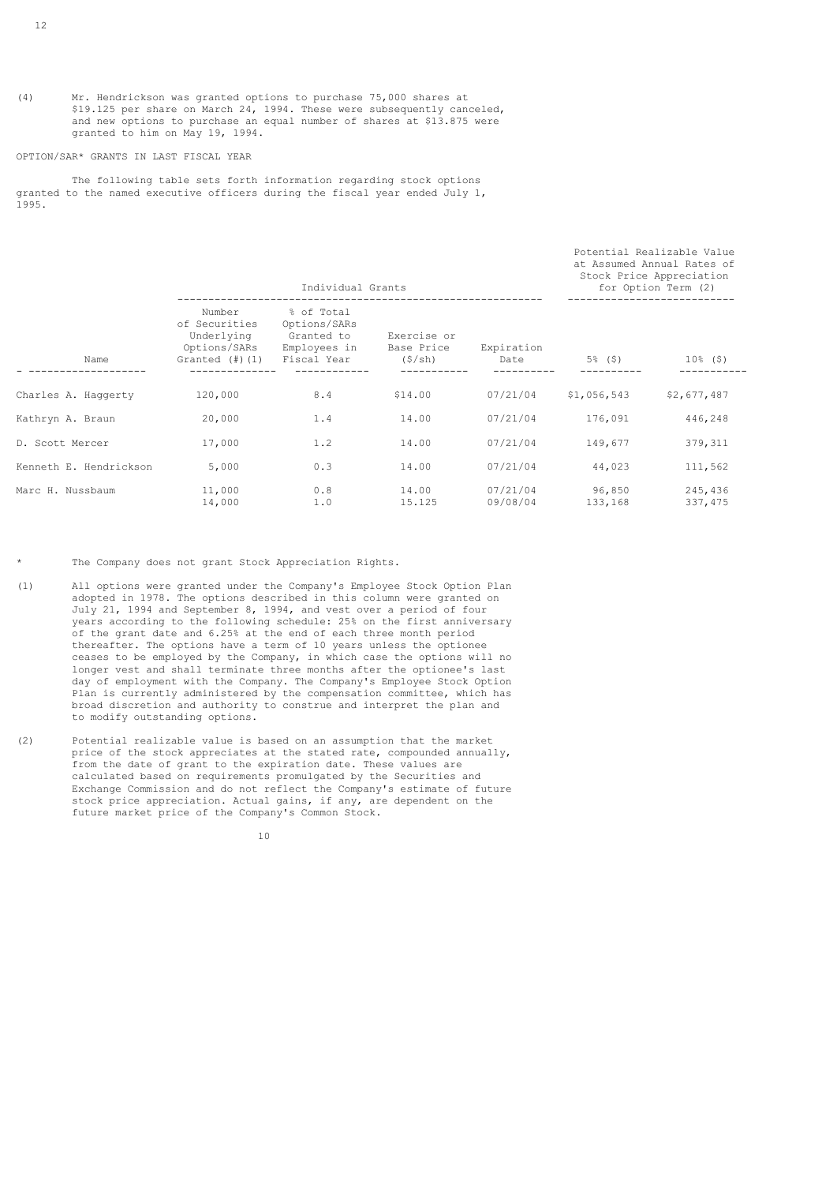(4) Mr. Hendrickson was granted options to purchase 75,000 shares at \$19.125 per share on March 24, 1994. These were subsequently canceled, and new options to purchase an equal number of shares at \$13.875 were granted to him on May 19, 1994.

### OPTION/SAR\* GRANTS IN LAST FISCAL YEAR

 The following table sets forth information regarding stock options granted to the named executive officers during the fiscal year ended July 1, 1995.

|                        |                                                                               | Individual Grants                                                       | at Assumed Annual Rates of<br>Stock Price Appreciation<br>for Option Term (2) |                      |                   |                     |
|------------------------|-------------------------------------------------------------------------------|-------------------------------------------------------------------------|-------------------------------------------------------------------------------|----------------------|-------------------|---------------------|
| Name                   | Number<br>of Securities<br>Underlying<br>Options/SARs<br>Granted $(\#)$ $(1)$ | % of Total<br>Options/SARs<br>Granted to<br>Employees in<br>Fiscal Year | Exercise or<br>Base Price<br>(\$/sh)                                          | Expiration<br>Date   | 5% (\$)           | $10\%$ (\$)         |
| Charles A. Haggerty    | 120,000                                                                       | 8.4                                                                     | \$14.00                                                                       | 07/21/04             | \$1,056,543       | \$2,677,487         |
| Kathryn A. Braun       | 20,000                                                                        | 1.4                                                                     | 14.00                                                                         | 07/21/04             | 176,091           | 446,248             |
| D. Scott Mercer        | 17,000                                                                        | 1.2                                                                     | 14.00                                                                         | 07/21/04             | 149,677           | 379, 311            |
| Kenneth E. Hendrickson | 5,000                                                                         | 0.3                                                                     | 14.00                                                                         | 07/21/04             | 44,023            | 111,562             |
| Marc H. Nussbaum       | 11,000<br>14,000                                                              | 0.8<br>1.0                                                              | 14.00<br>15.125                                                               | 07/21/04<br>09/08/04 | 96,850<br>133,168 | 245,436<br>337, 475 |

Potential Realizable Value

\* The Company does not grant Stock Appreciation Rights.

- (1) All options were granted under the Company's Employee Stock Option Plan adopted in 1978. The options described in this column were granted on July 21, 1994 and September 8, 1994, and vest over a period of four years according to the following schedule: 25% on the first anniversary of the grant date and 6.25% at the end of each three month period thereafter. The options have a term of 10 years unless the optionee ceases to be employed by the Company, in which case the options will no longer vest and shall terminate three months after the optionee's last day of employment with the Company. The Company's Employee Stock Option Plan is currently administered by the compensation committee, which has broad discretion and authority to construe and interpret the plan and to modify outstanding options.
- (2) Potential realizable value is based on an assumption that the market price of the stock appreciates at the stated rate, compounded annually, from the date of grant to the expiration date. These values are calculated based on requirements promulgated by the Securities and Exchange Commission and do not reflect the Company's estimate of future stock price appreciation. Actual gains, if any, are dependent on the future market price of the Company's Common Stock.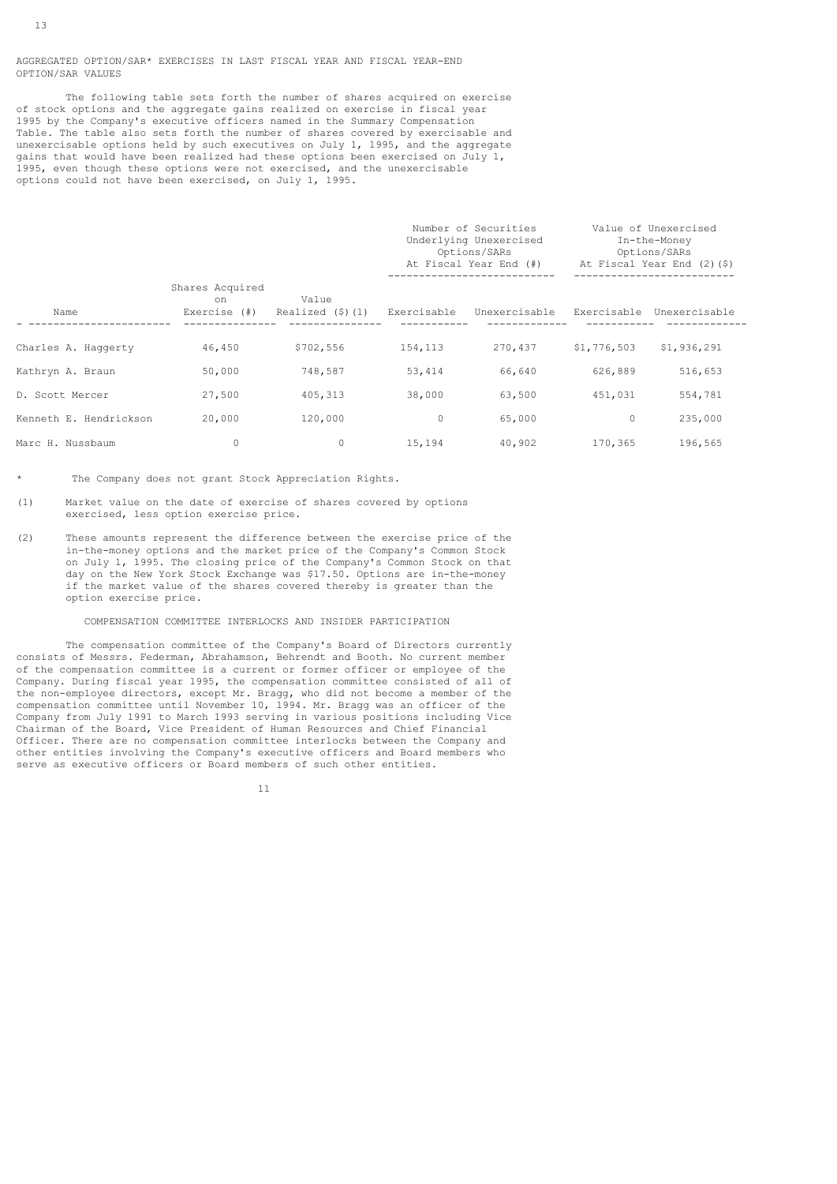AGGREGATED OPTION/SAR\* EXERCISES IN LAST FISCAL YEAR AND FISCAL YEAR-END OPTION/SAR VALUES

 The following table sets forth the number of shares acquired on exercise of stock options and the aggregate gains realized on exercise in fiscal year 1995 by the Company's executive officers named in the Summary Compensation Table. The table also sets forth the number of shares covered by exercisable and unexercisable options held by such executives on July 1, 1995, and the aggregate gains that would have been realized had these options been exercised on July 1, 1995, even though these options were not exercised, and the unexercisable options could not have been exercised, on July 1, 1995.

|                        |                                       |                                |             | Number of Securities<br>Underlying Unexercised<br>Options/SARs<br>At Fiscal Year End (#) |             | Value of Unexercised<br>In-the-Money<br>Options/SARs<br>At Fiscal Year End (2)(\$) |
|------------------------|---------------------------------------|--------------------------------|-------------|------------------------------------------------------------------------------------------|-------------|------------------------------------------------------------------------------------|
| Name                   | Shares Acquired<br>on<br>Exercise (#) | Value<br>Realized $(\$)$ $(1)$ | Exercisable | Unexercisable                                                                            |             | Exercisable Unexercisable                                                          |
| Charles A. Haggerty    | 46,450                                | \$702,556                      | 154,113     | 270,437                                                                                  | \$1,776,503 | \$1,936,291                                                                        |
| Kathryn A. Braun       | 50,000                                | 748,587                        | 53,414      | 66,640                                                                                   | 626,889     | 516,653                                                                            |
| D. Scott Mercer        | 27,500                                | 405, 313                       | 38,000      | 63,500                                                                                   | 451,031     | 554,781                                                                            |
| Kenneth E. Hendrickson | 20,000                                | 120,000                        | 0           | 65,000                                                                                   | $\circ$     | 235,000                                                                            |
| Marc H. Nussbaum       | 0                                     | $\Omega$                       | 15,194      | 40,902                                                                                   | 170,365     | 196,565                                                                            |

The Company does not grant Stock Appreciation Rights.

- (1) Market value on the date of exercise of shares covered by options exercised, less option exercise price.
- (2) These amounts represent the difference between the exercise price of the in-the-money options and the market price of the Company's Common Stock on July 1, 1995. The closing price of the Company's Common Stock on that day on the New York Stock Exchange was \$17.50. Options are in-the-money if the market value of the shares covered thereby is greater than the option exercise price.

## COMPENSATION COMMITTEE INTERLOCKS AND INSIDER PARTICIPATION

 The compensation committee of the Company's Board of Directors currently consists of Messrs. Federman, Abrahamson, Behrendt and Booth. No current member of the compensation committee is a current or former officer or employee of the Company. During fiscal year 1995, the compensation committee consisted of all of the non-employee directors, except Mr. Bragg, who did not become a member of the compensation committee until November 10, 1994. Mr. Bragg was an officer of the Company from July 1991 to March 1993 serving in various positions including Vice Chairman of the Board, Vice President of Human Resources and Chief Financial Officer. There are no compensation committee interlocks between the Company and other entities involving the Company's executive officers and Board members who serve as executive officers or Board members of such other entities.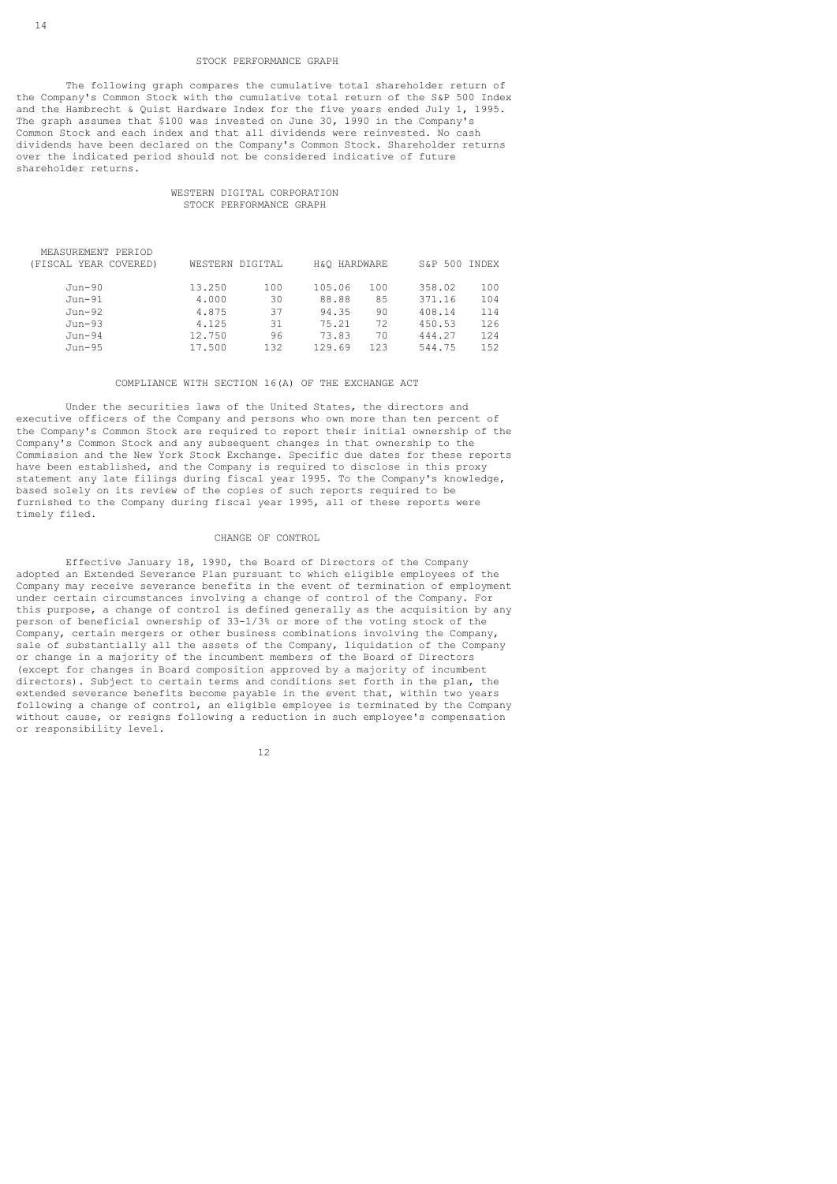### STOCK PERFORMANCE GRAPH

 The following graph compares the cumulative total shareholder return of the Company's Common Stock with the cumulative total return of the S&P 500 Index and the Hambrecht & Quist Hardware Index for the five years ended July 1, 1995. The graph assumes that \$100 was invested on June 30, 1990 in the Company's Common Stock and each index and that all dividends were reinvested. No cash dividends have been declared on the Company's Common Stock. Shareholder returns over the indicated period should not be considered indicative of future shareholder returns.

## WESTERN DIGITAL CORPORATION STOCK PERFORMANCE GRAPH

| (FISCAL YEAR COVERED) | WESTERN DIGITAL |     | H&O HARDWARE |     | S&P 500 INDEX |      |
|-----------------------|-----------------|-----|--------------|-----|---------------|------|
| Jun-90                | 13.250          | 100 | 105.06       | 100 | 358.02        | 100  |
| $Jun-91$              | 4,000           | 30  | 88.88        | 85  | 371.16        | 104  |
| Jun-92                | 4.875           | 37  | 94.35        | 90  | 408.14        | 114  |
| $Jun-93$              | 4.125           | 31  | 75.21        | 72  | 450.53        | 126  |
| $Jun-94$              | 12.750          | 96  | 73.83        | 70  | 444.27        | 124  |
| Jun-95                | 17.500          | 132 | 129.69       | 123 | 544.75        | 1.52 |
|                       |                 |     |              |     |               |      |

## COMPLIANCE WITH SECTION 16(A) OF THE EXCHANGE ACT

 Under the securities laws of the United States, the directors and executive officers of the Company and persons who own more than ten percent of the Company's Common Stock are required to report their initial ownership of the Company's Common Stock and any subsequent changes in that ownership to the Commission and the New York Stock Exchange. Specific due dates for these reports have been established, and the Company is required to disclose in this proxy statement any late filings during fiscal year 1995. To the Company's knowledge, based solely on its review of the copies of such reports required to be furnished to the Company during fiscal year 1995, all of these reports were timely filed.

#### CHANGE OF CONTROL

 Effective January 18, 1990, the Board of Directors of the Company adopted an Extended Severance Plan pursuant to which eligible employees of the Company may receive severance benefits in the event of termination of employment under certain circumstances involving a change of control of the Company. For this purpose, a change of control is defined generally as the acquisition by any person of beneficial ownership of 33-1/3% or more of the voting stock of the Company, certain mergers or other business combinations involving the Company, sale of substantially all the assets of the Company, liquidation of the Company or change in a majority of the incumbent members of the Board of Directors (except for changes in Board composition approved by a majority of incumbent directors). Subject to certain terms and conditions set forth in the plan, the extended severance benefits become payable in the event that, within two years following a change of control, an eligible employee is terminated by the Company without cause, or resigns following a reduction in such employee's compensation or responsibility level.

MEASUREMENT PERIOD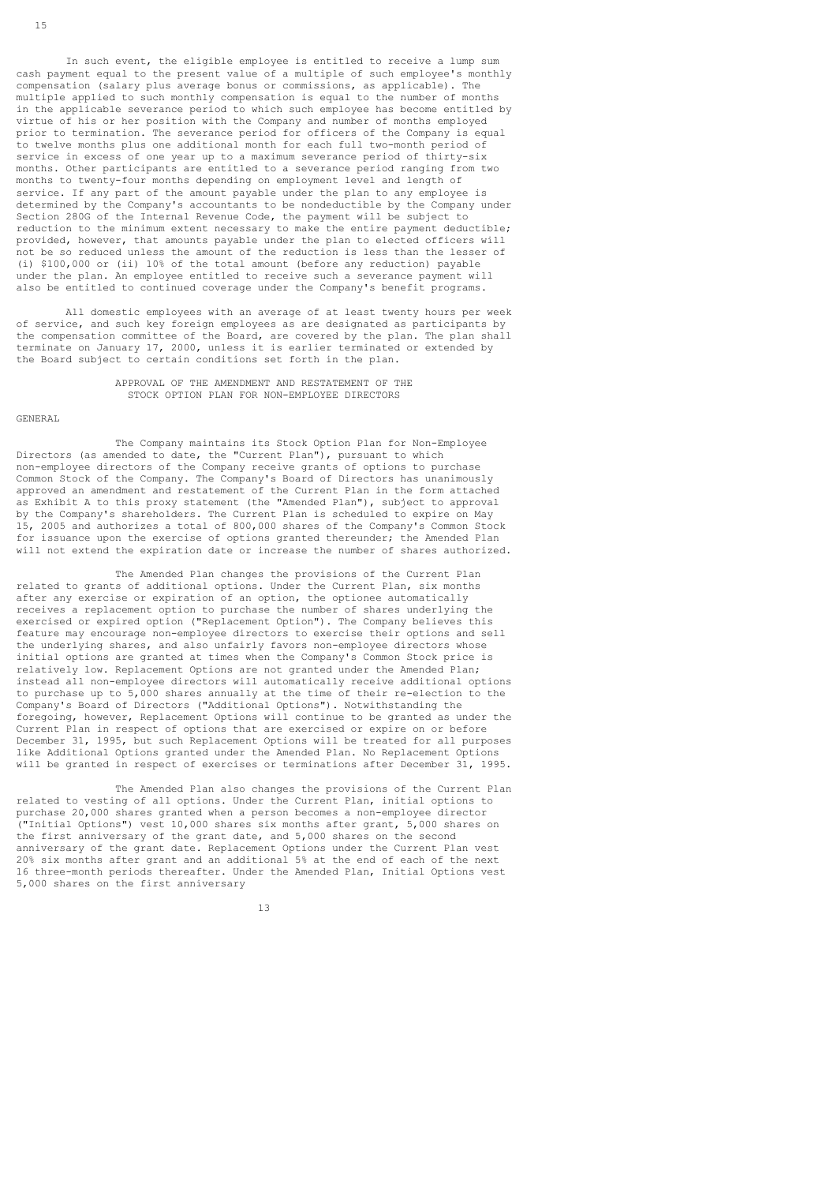In such event, the eligible employee is entitled to receive a lump sum cash payment equal to the present value of a multiple of such employee's monthly compensation (salary plus average bonus or commissions, as applicable). The multiple applied to such monthly compensation is equal to the number of months in the applicable severance period to which such employee has become entitled by virtue of his or her position with the Company and number of months employed prior to termination. The severance period for officers of the Company is equal to twelve months plus one additional month for each full two-month period of service in excess of one year up to a maximum severance period of thirty-six months. Other participants are entitled to a severance period ranging from two months to twenty-four months depending on employment level and length of service. If any part of the amount payable under the plan to any employee is determined by the Company's accountants to be nondeductible by the Company under Section 280G of the Internal Revenue Code, the payment will be subject to reduction to the minimum extent necessary to make the entire payment deductible; provided, however, that amounts payable under the plan to elected officers will not be so reduced unless the amount of the reduction is less than the lesser of (i) \$100,000 or (ii) 10% of the total amount (before any reduction) payable under the plan. An employee entitled to receive such a severance payment will also be entitled to continued coverage under the Company's benefit programs.

 All domestic employees with an average of at least twenty hours per week of service, and such key foreign employees as are designated as participants by the compensation committee of the Board, are covered by the plan. The plan shall terminate on January 17, 2000, unless it is earlier terminated or extended by the Board subject to certain conditions set forth in the plan.

> APPROVAL OF THE AMENDMENT AND RESTATEMENT OF THE STOCK OPTION PLAN FOR NON-EMPLOYEE DIRECTORS

### GENERAL

 The Company maintains its Stock Option Plan for Non-Employee Directors (as amended to date, the "Current Plan"), pursuant to which non-employee directors of the Company receive grants of options to purchase Common Stock of the Company. The Company's Board of Directors has unanimously approved an amendment and restatement of the Current Plan in the form attached as Exhibit A to this proxy statement (the "Amended Plan"), subject to approval by the Company's shareholders. The Current Plan is scheduled to expire on May 15, 2005 and authorizes a total of 800,000 shares of the Company's Common Stock for issuance upon the exercise of options granted thereunder; the Amended Plan will not extend the expiration date or increase the number of shares authorized.

 The Amended Plan changes the provisions of the Current Plan related to grants of additional options. Under the Current Plan, six months after any exercise or expiration of an option, the optionee automatically receives a replacement option to purchase the number of shares underlying the exercised or expired option ("Replacement Option"). The Company believes this feature may encourage non-employee directors to exercise their options and sell the underlying shares, and also unfairly favors non-employee directors whose initial options are granted at times when the Company's Common Stock price is relatively low. Replacement Options are not granted under the Amended Plan; instead all non-employee directors will automatically receive additional options to purchase up to 5,000 shares annually at the time of their re-election to the Company's Board of Directors ("Additional Options"). Notwithstanding the foregoing, however, Replacement Options will continue to be granted as under the Current Plan in respect of options that are exercised or expire on or before December 31, 1995, but such Replacement Options will be treated for all purposes like Additional Options granted under the Amended Plan. No Replacement Options will be granted in respect of exercises or terminations after December 31, 1995.

 The Amended Plan also changes the provisions of the Current Plan related to vesting of all options. Under the Current Plan, initial options to purchase 20,000 shares granted when a person becomes a non-employee director ("Initial Options") vest 10,000 shares six months after grant, 5,000 shares on the first anniversary of the grant date, and 5,000 shares on the second anniversary of the grant date. Replacement Options under the Current Plan vest 20% six months after grant and an additional 5% at the end of each of the next 16 three-month periods thereafter. Under the Amended Plan, Initial Options vest 5,000 shares on the first anniversary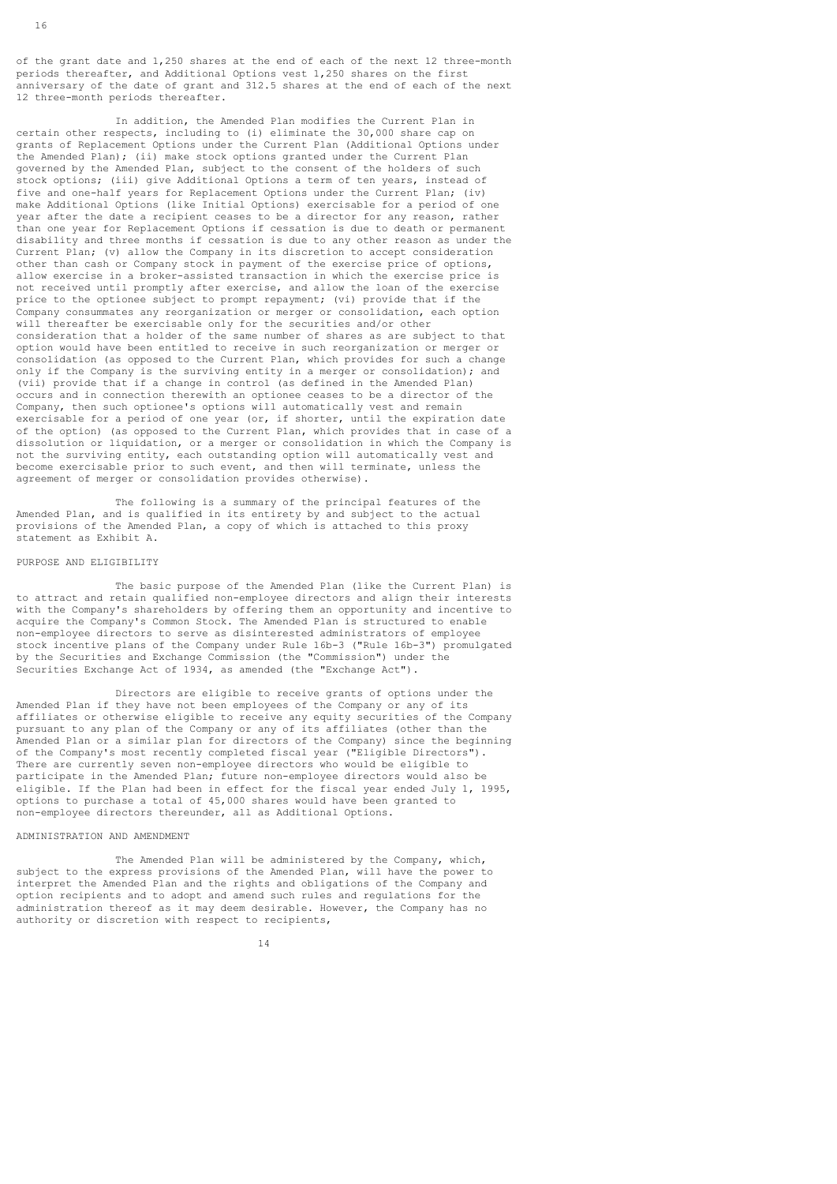of the grant date and 1,250 shares at the end of each of the next 12 three-month periods thereafter, and Additional Options vest 1,250 shares on the first anniversary of the date of grant and 312.5 shares at the end of each of the next 12 three-month periods thereafter.

 In addition, the Amended Plan modifies the Current Plan in certain other respects, including to (i) eliminate the 30,000 share cap on grants of Replacement Options under the Current Plan (Additional Options under the Amended Plan); (ii) make stock options granted under the Current Plan governed by the Amended Plan, subject to the consent of the holders of such stock options; (iii) give Additional Options a term of ten years, instead of five and one-half years for Replacement Options under the Current Plan; (iv) make Additional Options (like Initial Options) exercisable for a period of one year after the date a recipient ceases to be a director for any reason, rather than one year for Replacement Options if cessation is due to death or permanent disability and three months if cessation is due to any other reason as under the Current Plan; (v) allow the Company in its discretion to accept consideration other than cash or Company stock in payment of the exercise price of options, allow exercise in a broker-assisted transaction in which the exercise price is not received until promptly after exercise, and allow the loan of the exercise price to the optionee subject to prompt repayment; (vi) provide that if the Company consummates any reorganization or merger or consolidation, each option will thereafter be exercisable only for the securities and/or other consideration that a holder of the same number of shares as are subject to that option would have been entitled to receive in such reorganization or merger or consolidation (as opposed to the Current Plan, which provides for such a change only if the Company is the surviving entity in a merger or consolidation); and (vii) provide that if a change in control (as defined in the Amended Plan) occurs and in connection therewith an optionee ceases to be a director of the Company, then such optionee's options will automatically vest and remain exercisable for a period of one year (or, if shorter, until the expiration date of the option) (as opposed to the Current Plan, which provides that in case of a dissolution or liquidation, or a merger or consolidation in which the Company is not the surviving entity, each outstanding option will automatically vest and become exercisable prior to such event, and then will terminate, unless the agreement of merger or consolidation provides otherwise).

 The following is a summary of the principal features of the Amended Plan, and is qualified in its entirety by and subject to the actual provisions of the Amended Plan, a copy of which is attached to this proxy statement as Exhibit A.

### PURPOSE AND ELIGIBILITY

 The basic purpose of the Amended Plan (like the Current Plan) is to attract and retain qualified non-employee directors and align their interests with the Company's shareholders by offering them an opportunity and incentive to acquire the Company's Common Stock. The Amended Plan is structured to enable non-employee directors to serve as disinterested administrators of employee stock incentive plans of the Company under Rule 16b-3 ("Rule 16b-3") promulgated by the Securities and Exchange Commission (the "Commission") under the Securities Exchange Act of 1934, as amended (the "Exchange Act").

 Directors are eligible to receive grants of options under the Amended Plan if they have not been employees of the Company or any of its affiliates or otherwise eligible to receive any equity securities of the Company pursuant to any plan of the Company or any of its affiliates (other than the Amended Plan or a similar plan for directors of the Company) since the beginning of the Company's most recently completed fiscal year ("Eligible Directors"). There are currently seven non-employee directors who would be eligible to participate in the Amended Plan; future non-employee directors would also be eligible. If the Plan had been in effect for the fiscal year ended July 1, 1995, options to purchase a total of 45,000 shares would have been granted to non-employee directors thereunder, all as Additional Options.

## ADMINISTRATION AND AMENDMENT

14

 The Amended Plan will be administered by the Company, which, subject to the express provisions of the Amended Plan, will have the power to interpret the Amended Plan and the rights and obligations of the Company and option recipients and to adopt and amend such rules and regulations for the administration thereof as it may deem desirable. However, the Company has no authority or discretion with respect to recipients,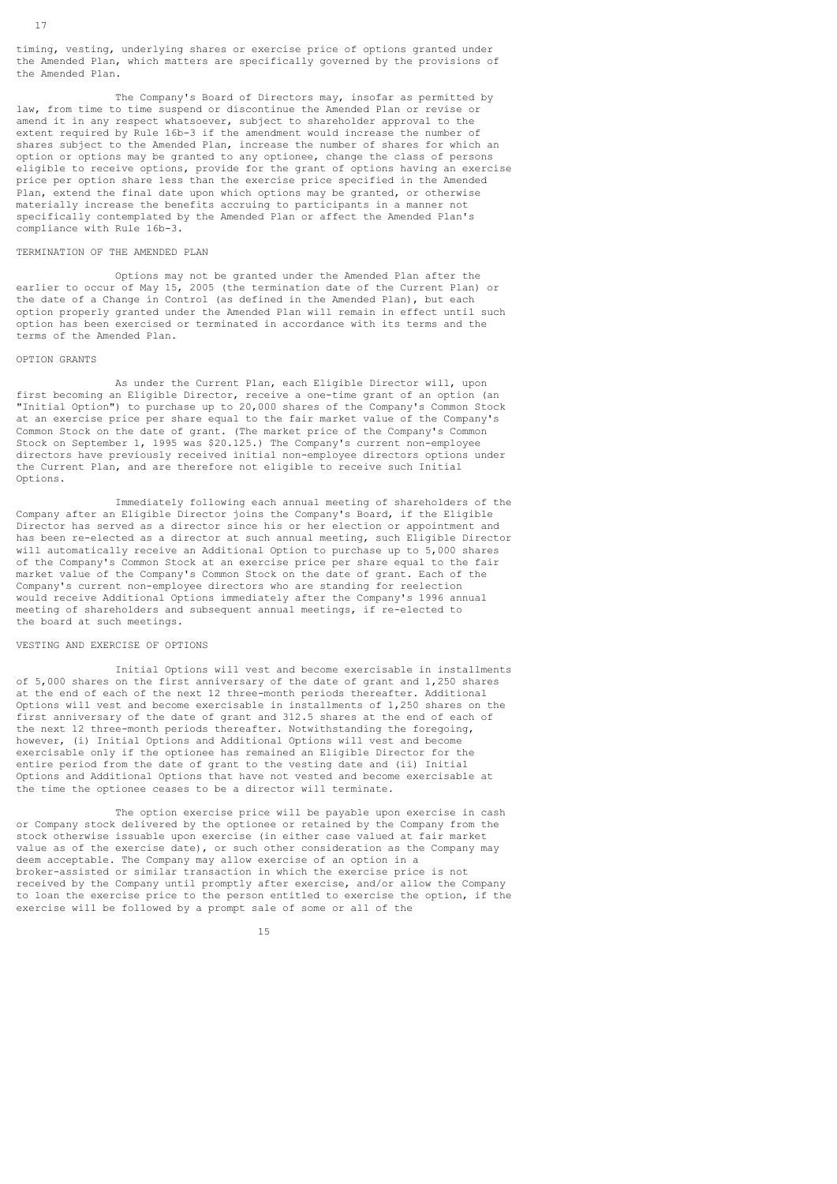timing, vesting, underlying shares or exercise price of options granted under the Amended Plan, which matters are specifically governed by the provisions of the Amended Plan.

 The Company's Board of Directors may, insofar as permitted by law, from time to time suspend or discontinue the Amended Plan or revise or amend it in any respect whatsoever, subject to shareholder approval to the extent required by Rule 16b-3 if the amendment would increase the number of shares subject to the Amended Plan, increase the number of shares for which an option or options may be granted to any optionee, change the class of persons eligible to receive options, provide for the grant of options having an exercise price per option share less than the exercise price specified in the Amended Plan, extend the final date upon which options may be granted, or otherwise materially increase the benefits accruing to participants in a manner not specifically contemplated by the Amended Plan or affect the Amended Plan's compliance with Rule 16b-3.

## TERMINATION OF THE AMENDED PLAN

 Options may not be granted under the Amended Plan after the earlier to occur of May 15, 2005 (the termination date of the Current Plan) or the date of a Change in Control (as defined in the Amended Plan), but each option properly granted under the Amended Plan will remain in effect until such option has been exercised or terminated in accordance with its terms and the terms of the Amended Plan.

#### OPTION GRANTS

 As under the Current Plan, each Eligible Director will, upon first becoming an Eligible Director, receive a one-time grant of an option (an "Initial Option") to purchase up to 20,000 shares of the Company's Common Stock at an exercise price per share equal to the fair market value of the Company's Common Stock on the date of grant. (The market price of the Company's Common Stock on September 1, 1995 was \$20.125.) The Company's current non-employee directors have previously received initial non-employee directors options under the Current Plan, and are therefore not eligible to receive such Initial Options.

 Immediately following each annual meeting of shareholders of the Company after an Eligible Director joins the Company's Board, if the Eligible Director has served as a director since his or her election or appointment and has been re-elected as a director at such annual meeting, such Eligible Director will automatically receive an Additional Option to purchase up to 5,000 shares of the Company's Common Stock at an exercise price per share equal to the fair market value of the Company's Common Stock on the date of grant. Each of the Company's current non-employee directors who are standing for reelection would receive Additional Options immediately after the Company's 1996 annual meeting of shareholders and subsequent annual meetings, if re-elected to the board at such meetings.

## VESTING AND EXERCISE OF OPTIONS

 Initial Options will vest and become exercisable in installments of 5,000 shares on the first anniversary of the date of grant and 1,250 shares at the end of each of the next 12 three-month periods thereafter. Additional Options will vest and become exercisable in installments of 1,250 shares on the first anniversary of the date of grant and 312.5 shares at the end of each of the next 12 three-month periods thereafter. Notwithstanding the foregoing, however, (i) Initial Options and Additional Options will vest and become exercisable only if the optionee has remained an Eligible Director for the entire period from the date of grant to the vesting date and (ii) Initial Options and Additional Options that have not vested and become exercisable at the time the optionee ceases to be a director will terminate.

 The option exercise price will be payable upon exercise in cash or Company stock delivered by the optionee or retained by the Company from the stock otherwise issuable upon exercise (in either case valued at fair market value as of the exercise date), or such other consideration as the Company may deem acceptable. The Company may allow exercise of an option in a broker-assisted or similar transaction in which the exercise price is not received by the Company until promptly after exercise, and/or allow the Company to loan the exercise price to the person entitled to exercise the option, if the exercise will be followed by a prompt sale of some or all of the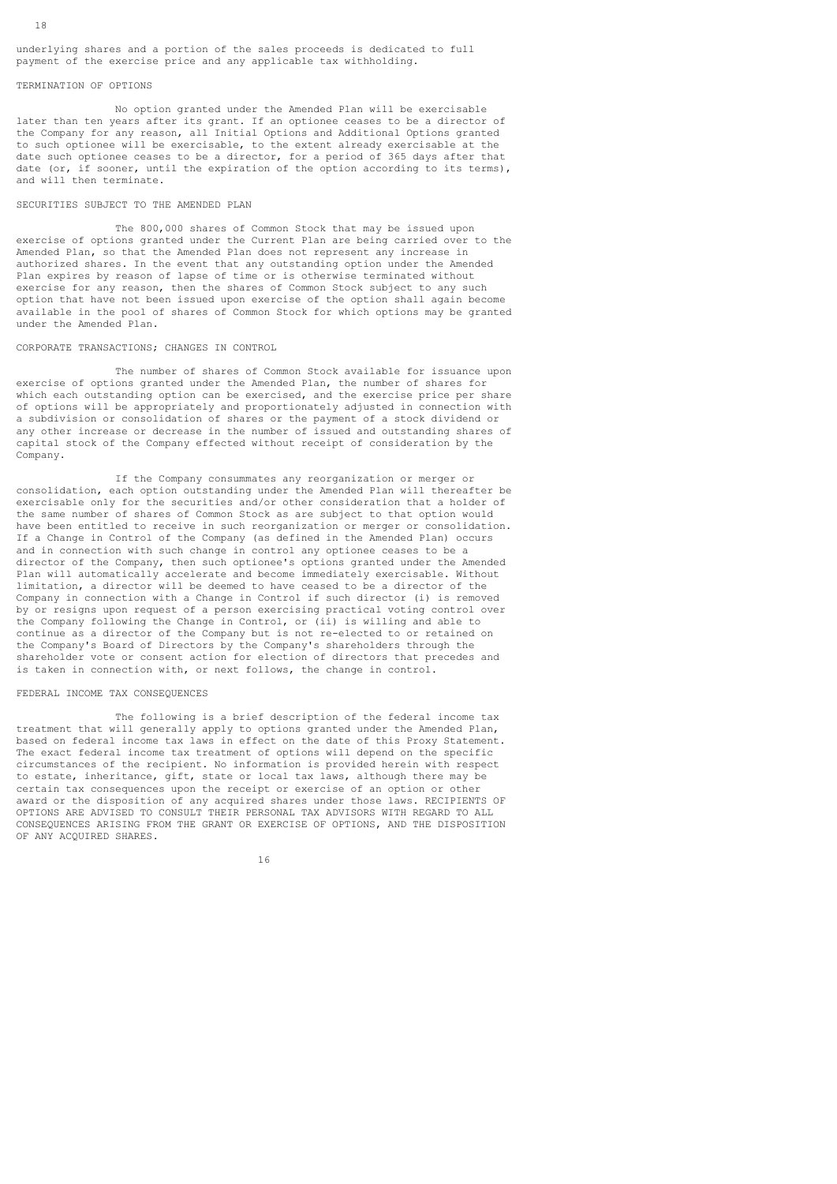underlying shares and a portion of the sales proceeds is dedicated to full payment of the exercise price and any applicable tax withholding.

## TERMINATION OF OPTIONS

 No option granted under the Amended Plan will be exercisable later than ten years after its grant. If an optionee ceases to be a director of the Company for any reason, all Initial Options and Additional Options granted to such optionee will be exercisable, to the extent already exercisable at the date such optionee ceases to be a director, for a period of 365 days after that date (or, if sooner, until the expiration of the option according to its terms), and will then terminate.

### SECURITIES SUBJECT TO THE AMENDED PLAN

 The 800,000 shares of Common Stock that may be issued upon exercise of options granted under the Current Plan are being carried over to the Amended Plan, so that the Amended Plan does not represent any increase in authorized shares. In the event that any outstanding option under the Amended Plan expires by reason of lapse of time or is otherwise terminated without exercise for any reason, then the shares of Common Stock subject to any such option that have not been issued upon exercise of the option shall again become available in the pool of shares of Common Stock for which options may be granted under the Amended Plan.

## CORPORATE TRANSACTIONS; CHANGES IN CONTROL

 The number of shares of Common Stock available for issuance upon exercise of options granted under the Amended Plan, the number of shares for which each outstanding option can be exercised, and the exercise price per share of options will be appropriately and proportionately adjusted in connection with a subdivision or consolidation of shares or the payment of a stock dividend or any other increase or decrease in the number of issued and outstanding shares of capital stock of the Company effected without receipt of consideration by the Company.

 If the Company consummates any reorganization or merger or consolidation, each option outstanding under the Amended Plan will thereafter be exercisable only for the securities and/or other consideration that a holder of the same number of shares of Common Stock as are subject to that option would have been entitled to receive in such reorganization or merger or consolidation. If a Change in Control of the Company (as defined in the Amended Plan) occurs and in connection with such change in control any optionee ceases to be a director of the Company, then such optionee's options granted under the Amended Plan will automatically accelerate and become immediately exercisable. Without limitation, a director will be deemed to have ceased to be a director of the Company in connection with a Change in Control if such director (i) is removed by or resigns upon request of a person exercising practical voting control over the Company following the Change in Control, or (ii) is willing and able to continue as a director of the Company but is not re-elected to or retained on the Company's Board of Directors by the Company's shareholders through the shareholder vote or consent action for election of directors that precedes and is taken in connection with, or next follows, the change in control.

#### FEDERAL INCOME TAX CONSEQUENCES

 The following is a brief description of the federal income tax treatment that will generally apply to options granted under the Amended Plan, based on federal income tax laws in effect on the date of this Proxy Statement. The exact federal income tax treatment of options will depend on the specific circumstances of the recipient. No information is provided herein with respect to estate, inheritance, gift, state or local tax laws, although there may be certain tax consequences upon the receipt or exercise of an option or other award or the disposition of any acquired shares under those laws. RECIPIENTS OF OPTIONS ARE ADVISED TO CONSULT THEIR PERSONAL TAX ADVISORS WITH REGARD TO ALL CONSEQUENCES ARISING FROM THE GRANT OR EXERCISE OF OPTIONS, AND THE DISPOSITION OF ANY ACQUIRED SHARES.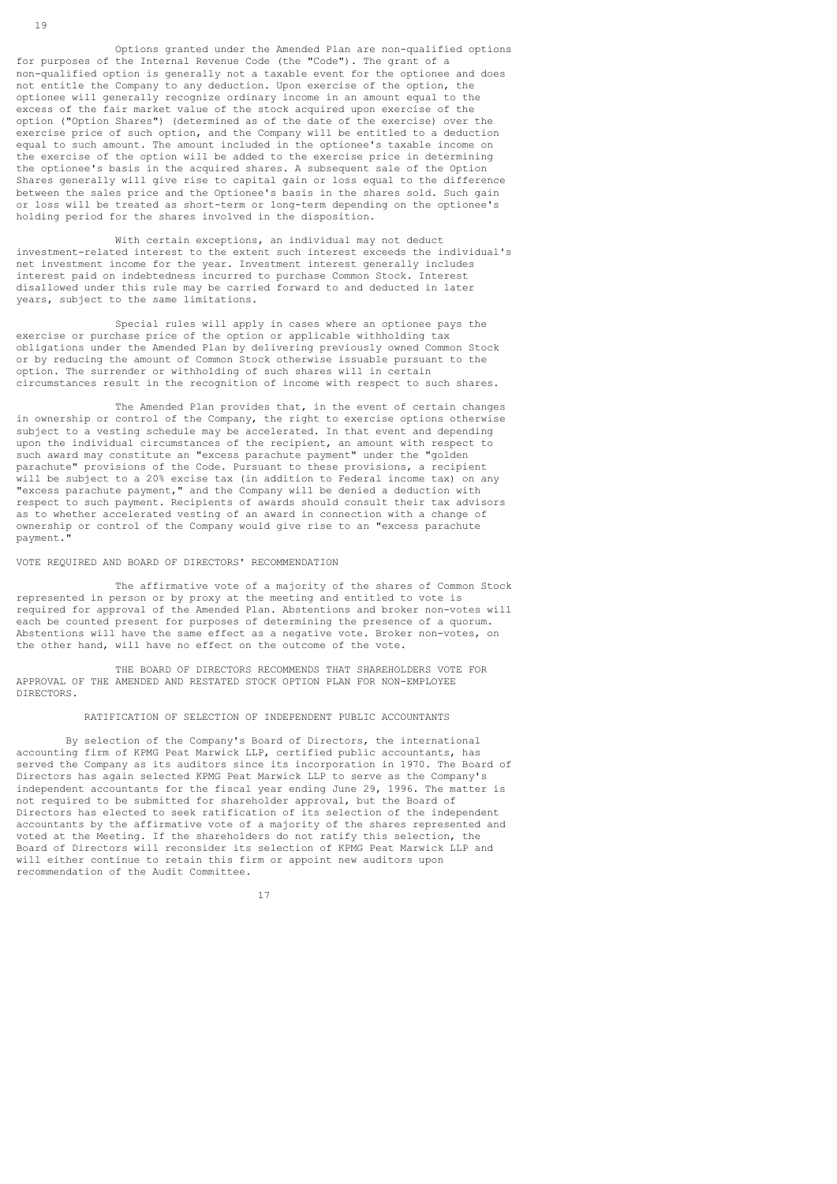Options granted under the Amended Plan are non-qualified options for purposes of the Internal Revenue Code (the "Code"). The grant of a non-qualified option is generally not a taxable event for the optionee and does not entitle the Company to any deduction. Upon exercise of the option, the optionee will generally recognize ordinary income in an amount equal to the excess of the fair market value of the stock acquired upon exercise of the option ("Option Shares") (determined as of the date of the exercise) over the exercise price of such option, and the Company will be entitled to a deduction equal to such amount. The amount included in the optionee's taxable income on the exercise of the option will be added to the exercise price in determining the optionee's basis in the acquired shares. A subsequent sale of the Option Shares generally will give rise to capital gain or loss equal to the difference between the sales price and the Optionee's basis in the shares sold. Such gain or loss will be treated as short-term or long-term depending on the optionee's holding period for the shares involved in the disposition.

 With certain exceptions, an individual may not deduct investment-related interest to the extent such interest exceeds the individual's net investment income for the year. Investment interest generally includes interest paid on indebtedness incurred to purchase Common Stock. Interest disallowed under this rule may be carried forward to and deducted in later years, subject to the same limitations.

 Special rules will apply in cases where an optionee pays the exercise or purchase price of the option or applicable withholding tax obligations under the Amended Plan by delivering previously owned Common Stock or by reducing the amount of Common Stock otherwise issuable pursuant to the option. The surrender or withholding of such shares will in certain circumstances result in the recognition of income with respect to such shares.

The Amended Plan provides that, in the event of certain changes in ownership or control of the Company, the right to exercise options otherwise subject to a vesting schedule may be accelerated. In that event and depending upon the individual circumstances of the recipient, an amount with respect to such award may constitute an "excess parachute payment" under the "golden parachute" provisions of the Code. Pursuant to these provisions, a recipient will be subject to a 20% excise tax (in addition to Federal income tax) on any "excess parachute payment," and the Company will be denied a deduction with respect to such payment. Recipients of awards should consult their tax advisors as to whether accelerated vesting of an award in connection with a change of ownership or control of the Company would give rise to an "excess parachute payment."

### VOTE REQUIRED AND BOARD OF DIRECTORS' RECOMMENDATION

 The affirmative vote of a majority of the shares of Common Stock represented in person or by proxy at the meeting and entitled to vote is required for approval of the Amended Plan. Abstentions and broker non-votes will each be counted present for purposes of determining the presence of a quorum. Abstentions will have the same effect as a negative vote. Broker non-votes, on the other hand, will have no effect on the outcome of the vote.

 THE BOARD OF DIRECTORS RECOMMENDS THAT SHAREHOLDERS VOTE FOR APPROVAL OF THE AMENDED AND RESTATED STOCK OPTION PLAN FOR NON-EMPLOYEE DIRECTORS.

#### RATIFICATION OF SELECTION OF INDEPENDENT PUBLIC ACCOUNTANTS

 By selection of the Company's Board of Directors, the international accounting firm of KPMG Peat Marwick LLP, certified public accountants, has served the Company as its auditors since its incorporation in 1970. The Board of Directors has again selected KPMG Peat Marwick LLP to serve as the Company's independent accountants for the fiscal year ending June 29, 1996. The matter is not required to be submitted for shareholder approval, but the Board of Directors has elected to seek ratification of its selection of the independent accountants by the affirmative vote of a majority of the shares represented and voted at the Meeting. If the shareholders do not ratify this selection, the Board of Directors will reconsider its selection of KPMG Peat Marwick LLP and will either continue to retain this firm or appoint new auditors upon recommendation of the Audit Committee.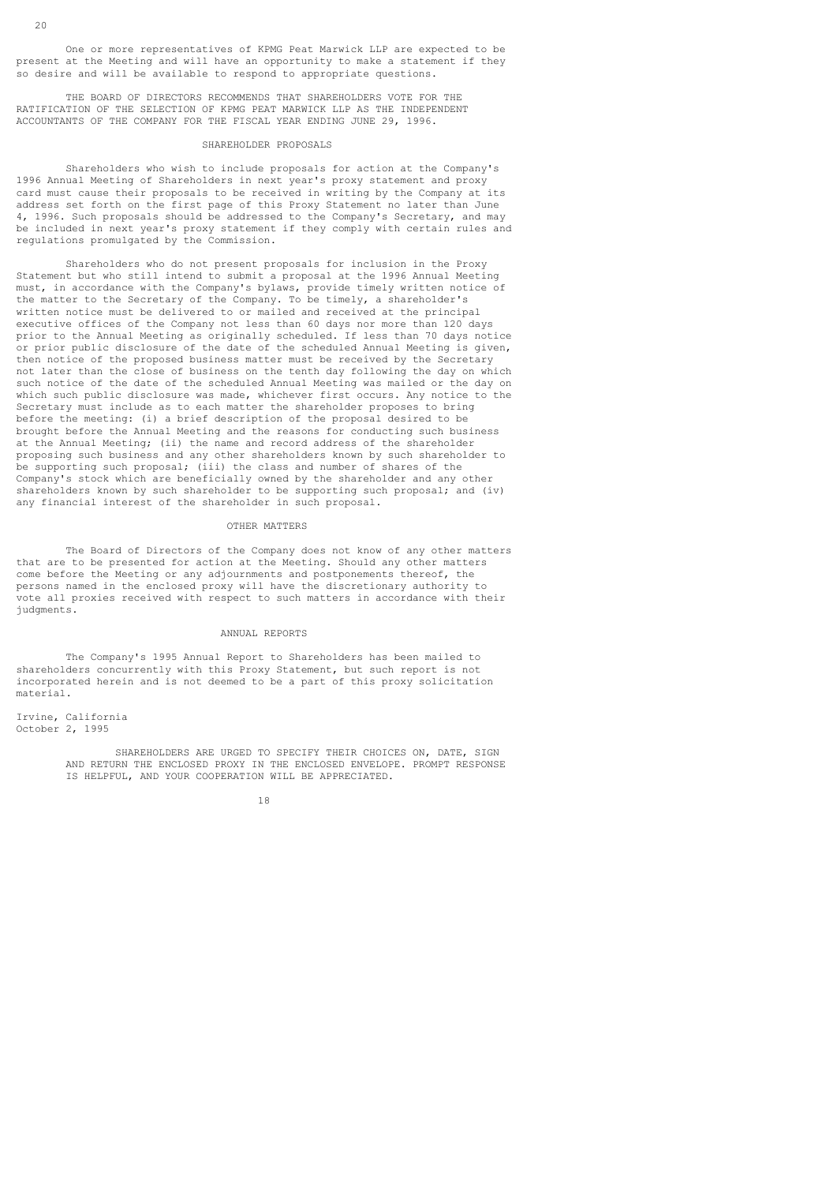One or more representatives of KPMG Peat Marwick LLP are expected to be present at the Meeting and will have an opportunity to make a statement if they so desire and will be available to respond to appropriate questions.

 THE BOARD OF DIRECTORS RECOMMENDS THAT SHAREHOLDERS VOTE FOR THE RATIFICATION OF THE SELECTION OF KPMG PEAT MARWICK LLP AS THE INDEPENDENT ACCOUNTANTS OF THE COMPANY FOR THE FISCAL YEAR ENDING JUNE 29, 1996.

#### SHAREHOLDER PROPOSALS

 Shareholders who wish to include proposals for action at the Company's 1996 Annual Meeting of Shareholders in next year's proxy statement and proxy card must cause their proposals to be received in writing by the Company at its address set forth on the first page of this Proxy Statement no later than June 4, 1996. Such proposals should be addressed to the Company's Secretary, and may be included in next year's proxy statement if they comply with certain rules and regulations promulgated by the Commission.

 Shareholders who do not present proposals for inclusion in the Proxy Statement but who still intend to submit a proposal at the 1996 Annual Meeting must, in accordance with the Company's bylaws, provide timely written notice of the matter to the Secretary of the Company. To be timely, a shareholder's written notice must be delivered to or mailed and received at the principal executive offices of the Company not less than 60 days nor more than 120 days prior to the Annual Meeting as originally scheduled. If less than 70 days notice or prior public disclosure of the date of the scheduled Annual Meeting is given, then notice of the proposed business matter must be received by the Secretary not later than the close of business on the tenth day following the day on which such notice of the date of the scheduled Annual Meeting was mailed or the day on which such public disclosure was made, whichever first occurs. Any notice to the Secretary must include as to each matter the shareholder proposes to bring before the meeting: (i) a brief description of the proposal desired to be brought before the Annual Meeting and the reasons for conducting such business at the Annual Meeting; (ii) the name and record address of the shareholder proposing such business and any other shareholders known by such shareholder to be supporting such proposal; (iii) the class and number of shares of the Company's stock which are beneficially owned by the shareholder and any other shareholders known by such shareholder to be supporting such proposal; and (iv) any financial interest of the shareholder in such proposal.

#### OTHER MATTERS

 The Board of Directors of the Company does not know of any other matters that are to be presented for action at the Meeting. Should any other matters come before the Meeting or any adjournments and postponements thereof, the persons named in the enclosed proxy will have the discretionary authority to vote all proxies received with respect to such matters in accordance with their judgments.

#### ANNUAL REPORTS

 The Company's 1995 Annual Report to Shareholders has been mailed to shareholders concurrently with this Proxy Statement, but such report is not incorporated herein and is not deemed to be a part of this proxy solicitation material.

Irvine, California October 2, 1995

> SHAREHOLDERS ARE URGED TO SPECIFY THEIR CHOICES ON, DATE, SIGN AND RETURN THE ENCLOSED PROXY IN THE ENCLOSED ENVELOPE. PROMPT RESPONSE IS HELPFUL, AND YOUR COOPERATION WILL BE APPRECIATED.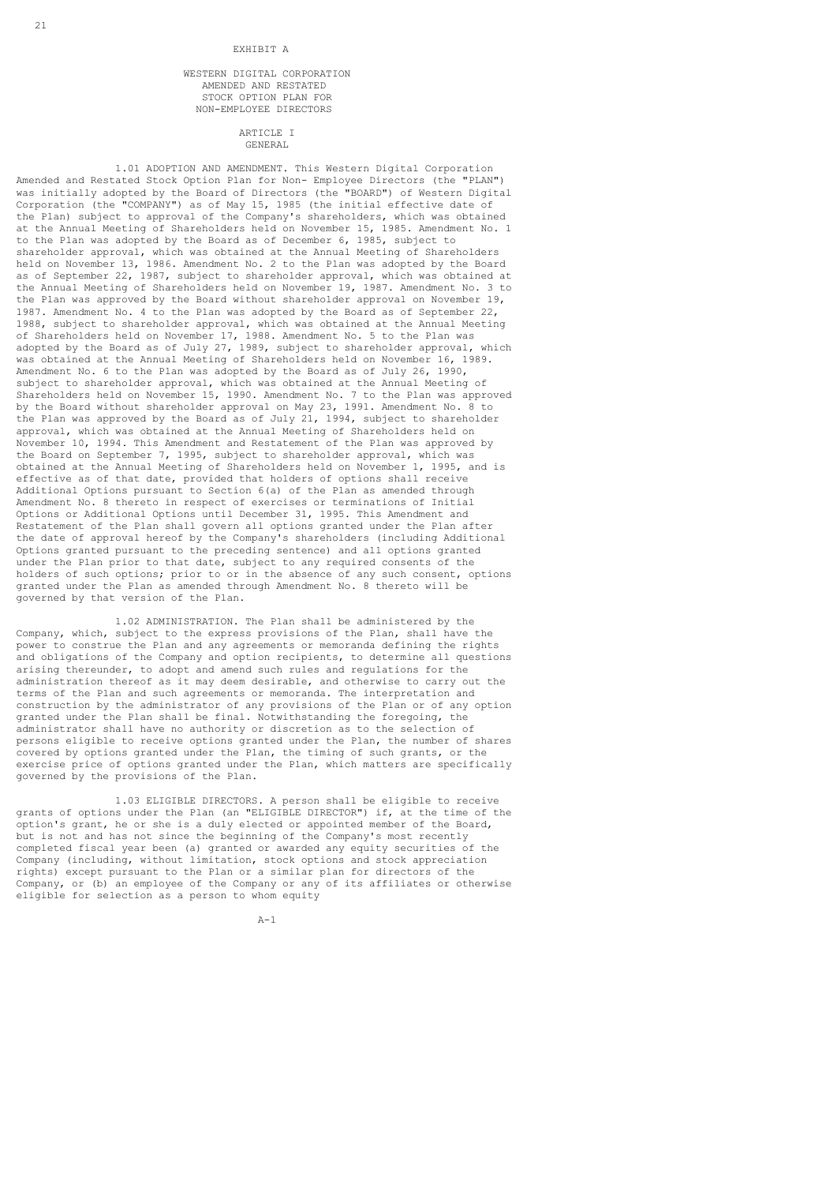#### EXHIBIT A

### WESTERN DIGITAL CORPORATION AMENDED AND RESTATED STOCK OPTION PLAN FOR NON-EMPLOYEE DIRECTORS

ARTICLE I GENERAL

 1.01 ADOPTION AND AMENDMENT. This Western Digital Corporation Amended and Restated Stock Option Plan for Non- Employee Directors (the "PLAN") was initially adopted by the Board of Directors (the "BOARD") of Western Digital Corporation (the "COMPANY") as of May 15, 1985 (the initial effective date of the Plan) subject to approval of the Company's shareholders, which was obtained at the Annual Meeting of Shareholders held on November 15, 1985. Amendment No. 1 to the Plan was adopted by the Board as of December 6, 1985, subject to shareholder approval, which was obtained at the Annual Meeting of Shareholders held on November 13, 1986. Amendment No. 2 to the Plan was adopted by the Board as of September 22, 1987, subject to shareholder approval, which was obtained at the Annual Meeting of Shareholders held on November 19, 1987. Amendment No. 3 to the Plan was approved by the Board without shareholder approval on November 19, 1987. Amendment No. 4 to the Plan was adopted by the Board as of September 22, 1988, subject to shareholder approval, which was obtained at the Annual Meeting of Shareholders held on November 17, 1988. Amendment No. 5 to the Plan was adopted by the Board as of July 27, 1989, subject to shareholder approval, which was obtained at the Annual Meeting of Shareholders held on November 16, 1989. Amendment No. 6 to the Plan was adopted by the Board as of July 26, 1990, subject to shareholder approval, which was obtained at the Annual Meeting of Shareholders held on November 15, 1990. Amendment No. 7 to the Plan was approved by the Board without shareholder approval on May 23, 1991. Amendment No. 8 to the Plan was approved by the Board as of July 21, 1994, subject to shareholder approval, which was obtained at the Annual Meeting of Shareholders held on November 10, 1994. This Amendment and Restatement of the Plan was approved by the Board on September 7, 1995, subject to shareholder approval, which was obtained at the Annual Meeting of Shareholders held on November 1, 1995, and is effective as of that date, provided that holders of options shall receive Additional Options pursuant to Section 6(a) of the Plan as amended through Amendment No. 8 thereto in respect of exercises or terminations of Initial Options or Additional Options until December 31, 1995. This Amendment and Restatement of the Plan shall govern all options granted under the Plan after the date of approval hereof by the Company's shareholders (including Additional Options granted pursuant to the preceding sentence) and all options granted under the Plan prior to that date, subject to any required consents of the holders of such options; prior to or in the absence of any such consent, options granted under the Plan as amended through Amendment No. 8 thereto will be governed by that version of the Plan.

 1.02 ADMINISTRATION. The Plan shall be administered by the Company, which, subject to the express provisions of the Plan, shall have the power to construe the Plan and any agreements or memoranda defining the rights and obligations of the Company and option recipients, to determine all questions arising thereunder, to adopt and amend such rules and regulations for the administration thereof as it may deem desirable, and otherwise to carry out the terms of the Plan and such agreements or memoranda. The interpretation and construction by the administrator of any provisions of the Plan or of any option granted under the Plan shall be final. Notwithstanding the foregoing, the administrator shall have no authority or discretion as to the selection of persons eligible to receive options granted under the Plan, the number of shares covered by options granted under the Plan, the timing of such grants, or the exercise price of options granted under the Plan, which matters are specifically governed by the provisions of the Plan.

 1.03 ELIGIBLE DIRECTORS. A person shall be eligible to receive grants of options under the Plan (an "ELIGIBLE DIRECTOR") if, at the time of the option's grant, he or she is a duly elected or appointed member of the Board, but is not and has not since the beginning of the Company's most recently completed fiscal year been (a) granted or awarded any equity securities of the Company (including, without limitation, stock options and stock appreciation rights) except pursuant to the Plan or a similar plan for directors of the Company, or (b) an employee of the Company or any of its affiliates or otherwise eligible for selection as a person to whom equity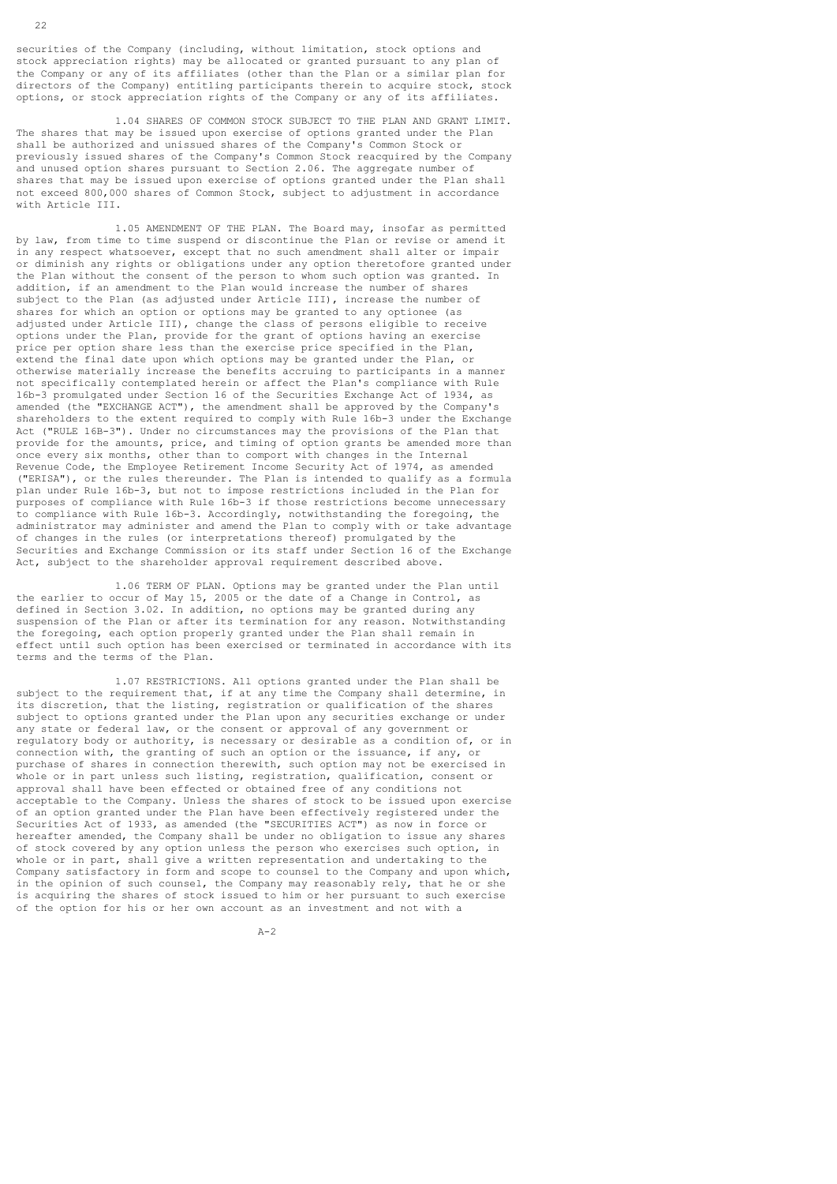securities of the Company (including, without limitation, stock options and stock appreciation rights) may be allocated or granted pursuant to any plan of the Company or any of its affiliates (other than the Plan or a similar plan for directors of the Company) entitling participants therein to acquire stock, stock options, or stock appreciation rights of the Company or any of its affiliates.

 1.04 SHARES OF COMMON STOCK SUBJECT TO THE PLAN AND GRANT LIMIT. The shares that may be issued upon exercise of options granted under the Plan shall be authorized and unissued shares of the Company's Common Stock or previously issued shares of the Company's Common Stock reacquired by the Company and unused option shares pursuant to Section 2.06. The aggregate number of shares that may be issued upon exercise of options granted under the Plan shall not exceed 800,000 shares of Common Stock, subject to adjustment in accordance with Article III.

 1.05 AMENDMENT OF THE PLAN. The Board may, insofar as permitted by law, from time to time suspend or discontinue the Plan or revise or amend it in any respect whatsoever, except that no such amendment shall alter or impair or diminish any rights or obligations under any option theretofore granted under the Plan without the consent of the person to whom such option was granted. In addition, if an amendment to the Plan would increase the number of shares subject to the Plan (as adjusted under Article III), increase the number of shares for which an option or options may be granted to any optionee (as adjusted under Article III), change the class of persons eligible to receive options under the Plan, provide for the grant of options having an exercise price per option share less than the exercise price specified in the Plan, extend the final date upon which options may be granted under the Plan, or otherwise materially increase the benefits accruing to participants in a manner not specifically contemplated herein or affect the Plan's compliance with Rule 16b-3 promulgated under Section 16 of the Securities Exchange Act of 1934, as amended (the "EXCHANGE ACT"), the amendment shall be approved by the Company's shareholders to the extent required to comply with Rule 16b-3 under the Exchange Act ("RULE 16B-3"). Under no circumstances may the provisions of the Plan that provide for the amounts, price, and timing of option grants be amended more than once every six months, other than to comport with changes in the Internal Revenue Code, the Employee Retirement Income Security Act of 1974, as amended ("ERISA"), or the rules thereunder. The Plan is intended to qualify as a formula plan under Rule 16b-3, but not to impose restrictions included in the Plan for purposes of compliance with Rule 16b-3 if those restrictions become unnecessary to compliance with Rule 16b-3. Accordingly, notwithstanding the foregoing, the administrator may administer and amend the Plan to comply with or take advantage of changes in the rules (or interpretations thereof) promulgated by the Securities and Exchange Commission or its staff under Section 16 of the Exchange Act, subject to the shareholder approval requirement described above.

 1.06 TERM OF PLAN. Options may be granted under the Plan until the earlier to occur of May 15, 2005 or the date of a Change in Control, as defined in Section 3.02. In addition, no options may be granted during any suspension of the Plan or after its termination for any reason. Notwithstanding the foregoing, each option properly granted under the Plan shall remain in effect until such option has been exercised or terminated in accordance with its terms and the terms of the Plan.

 1.07 RESTRICTIONS. All options granted under the Plan shall be subject to the requirement that, if at any time the Company shall determine, in its discretion, that the listing, registration or qualification of the shares subject to options granted under the Plan upon any securities exchange or under any state or federal law, or the consent or approval of any government or regulatory body or authority, is necessary or desirable as a condition of, or in connection with, the granting of such an option or the issuance, if any, or purchase of shares in connection therewith, such option may not be exercised in whole or in part unless such listing, registration, qualification, consent or approval shall have been effected or obtained free of any conditions not acceptable to the Company. Unless the shares of stock to be issued upon exercise of an option granted under the Plan have been effectively registered under the Securities Act of 1933, as amended (the "SECURITIES ACT") as now in force or hereafter amended, the Company shall be under no obligation to issue any shares of stock covered by any option unless the person who exercises such option, in whole or in part, shall give a written representation and undertaking to the Company satisfactory in form and scope to counsel to the Company and upon which, in the opinion of such counsel, the Company may reasonably rely, that he or she is acquiring the shares of stock issued to him or her pursuant to such exercise of the option for his or her own account as an investment and not with a

 $A-2$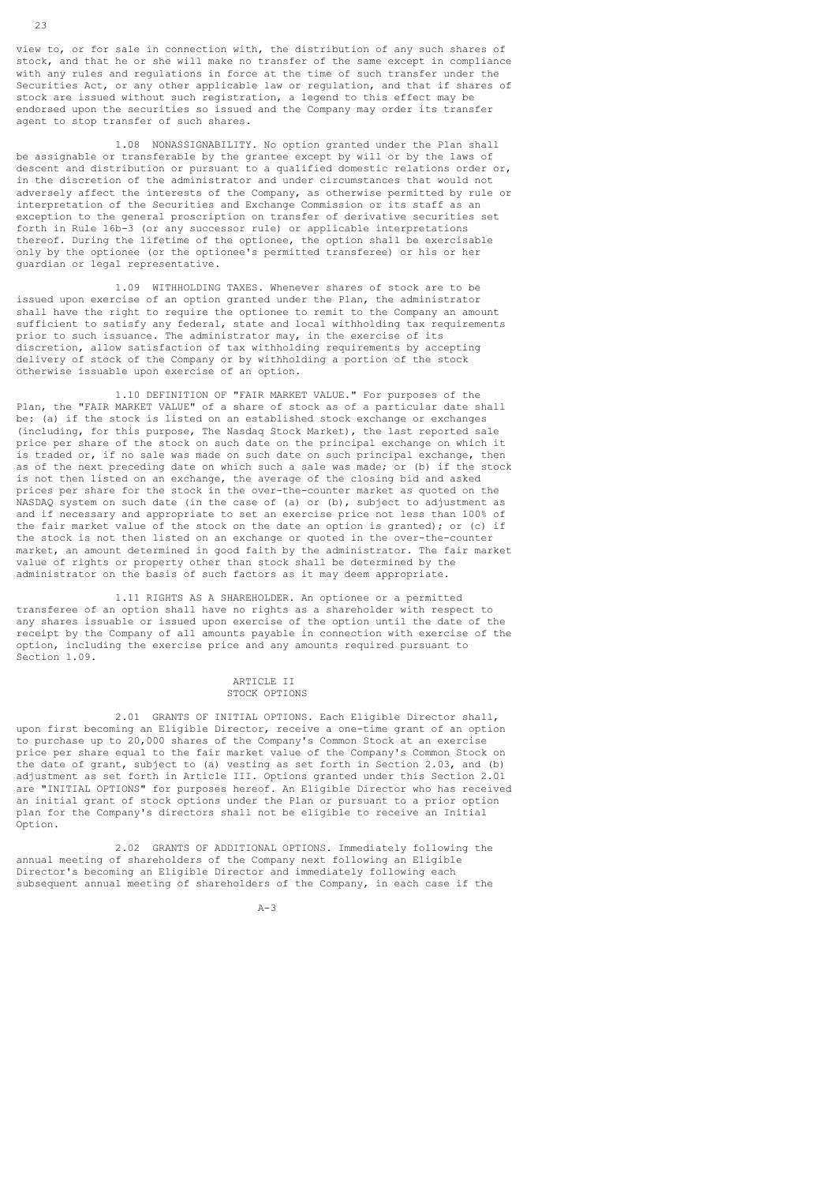view to, or for sale in connection with, the distribution of any such shares of stock, and that he or she will make no transfer of the same except in compliance with any rules and regulations in force at the time of such transfer under the Securities Act, or any other applicable law or regulation, and that if shares of stock are issued without such registration, a legend to this effect may be endorsed upon the securities so issued and the Company may order its transfer agent to stop transfer of such shares.

 1.08 NONASSIGNABILITY. No option granted under the Plan shall be assignable or transferable by the grantee except by will or by the laws of descent and distribution or pursuant to a qualified domestic relations order or, in the discretion of the administrator and under circumstances that would not adversely affect the interests of the Company, as otherwise permitted by rule or interpretation of the Securities and Exchange Commission or its staff as an exception to the general proscription on transfer of derivative securities set forth in Rule 16b-3 (or any successor rule) or applicable interpretations thereof. During the lifetime of the optionee, the option shall be exercisable only by the optionee (or the optionee's permitted transferee) or his or her guardian or legal representative.

 1.09 WITHHOLDING TAXES. Whenever shares of stock are to be issued upon exercise of an option granted under the Plan, the administrator shall have the right to require the optionee to remit to the Company an amount sufficient to satisfy any federal, state and local withholding tax requirements prior to such issuance. The administrator may, in the exercise of its discretion, allow satisfaction of tax withholding requirements by accepting delivery of stock of the Company or by withholding a portion of the stock otherwise issuable upon exercise of an option.

 1.10 DEFINITION OF "FAIR MARKET VALUE." For purposes of the Plan, the "FAIR MARKET VALUE" of a share of stock as of a particular date shall be: (a) if the stock is listed on an established stock exchange or exchanges (including, for this purpose, The Nasdaq Stock Market), the last reported sale price per share of the stock on such date on the principal exchange on which it is traded or, if no sale was made on such date on such principal exchange, then as of the next preceding date on which such a sale was made; or (b) if the stock is not then listed on an exchange, the average of the closing bid and asked prices per share for the stock in the over-the-counter market as quoted on the NASDAQ system on such date (in the case of (a) or (b), subject to adjustment as and if necessary and appropriate to set an exercise price not less than 100% of the fair market value of the stock on the date an option is granted); or (c) if the stock is not then listed on an exchange or quoted in the over-the-counter market, an amount determined in good faith by the administrator. The fair market value of rights or property other than stock shall be determined by the administrator on the basis of such factors as it may deem appropriate.

 1.11 RIGHTS AS A SHAREHOLDER. An optionee or a permitted transferee of an option shall have no rights as a shareholder with respect to any shares issuable or issued upon exercise of the option until the date of the receipt by the Company of all amounts payable in connection with exercise of the option, including the exercise price and any amounts required pursuant to Section 1.09.

### ARTICLE II STOCK OPTIONS

 2.01 GRANTS OF INITIAL OPTIONS. Each Eligible Director shall, upon first becoming an Eligible Director, receive a one-time grant of an option to purchase up to 20,000 shares of the Company's Common Stock at an exercise price per share equal to the fair market value of the Company's Common Stock on the date of grant, subject to (a) vesting as set forth in Section 2.03, and (b) adjustment as set forth in Article III. Options granted under this Section 2.01 are "INITIAL OPTIONS" for purposes hereof. An Eligible Director who has received an initial grant of stock options under the Plan or pursuant to a prior option plan for the Company's directors shall not be eligible to receive an Initial Option.

 2.02 GRANTS OF ADDITIONAL OPTIONS. Immediately following the annual meeting of shareholders of the Company next following an Eligible Director's becoming an Eligible Director and immediately following each subsequent annual meeting of shareholders of the Company, in each case if the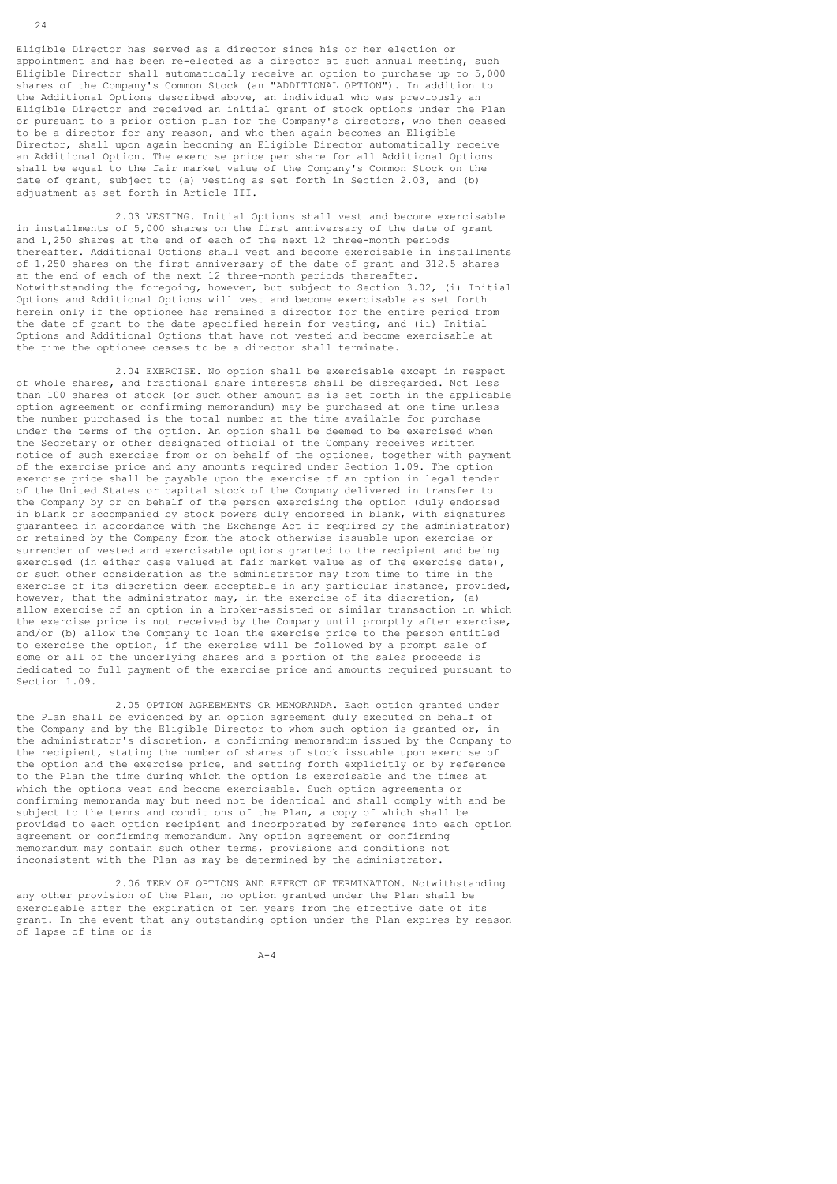Eligible Director has served as a director since his or her election or appointment and has been re-elected as a director at such annual meeting, such Eligible Director shall automatically receive an option to purchase up to 5,000 shares of the Company's Common Stock (an "ADDITIONAL OPTION"). In addition to the Additional Options described above, an individual who was previously an Eligible Director and received an initial grant of stock options under the Plan or pursuant to a prior option plan for the Company's directors, who then ceased to be a director for any reason, and who then again becomes an Eligible Director, shall upon again becoming an Eligible Director automatically receive an Additional Option. The exercise price per share for all Additional Options shall be equal to the fair market value of the Company's Common Stock on the date of grant, subject to (a) vesting as set forth in Section 2.03, and (b) adjustment as set forth in Article III.

 2.03 VESTING. Initial Options shall vest and become exercisable in installments of 5,000 shares on the first anniversary of the date of grant and 1,250 shares at the end of each of the next 12 three-month periods thereafter. Additional Options shall vest and become exercisable in installments of 1,250 shares on the first anniversary of the date of grant and 312.5 shares at the end of each of the next 12 three-month periods thereafter. Notwithstanding the foregoing, however, but subject to Section 3.02, (i) Initial Options and Additional Options will vest and become exercisable as set forth herein only if the optionee has remained a director for the entire period from the date of grant to the date specified herein for vesting, and (ii) Initial Options and Additional Options that have not vested and become exercisable at the time the optionee ceases to be a director shall terminate.

 2.04 EXERCISE. No option shall be exercisable except in respect of whole shares, and fractional share interests shall be disregarded. Not less than 100 shares of stock (or such other amount as is set forth in the applicable option agreement or confirming memorandum) may be purchased at one time unless the number purchased is the total number at the time available for purchase under the terms of the option. An option shall be deemed to be exercised when the Secretary or other designated official of the Company receives written notice of such exercise from or on behalf of the optionee, together with payment of the exercise price and any amounts required under Section 1.09. The option exercise price shall be payable upon the exercise of an option in legal tender of the United States or capital stock of the Company delivered in transfer to the Company by or on behalf of the person exercising the option (duly endorsed in blank or accompanied by stock powers duly endorsed in blank, with signatures guaranteed in accordance with the Exchange Act if required by the administrator) or retained by the Company from the stock otherwise issuable upon exercise or surrender of vested and exercisable options granted to the recipient and being exercised (in either case valued at fair market value as of the exercise date), or such other consideration as the administrator may from time to time in the exercise of its discretion deem acceptable in any particular instance, provided, however, that the administrator may, in the exercise of its discretion, (a) allow exercise of an option in a broker-assisted or similar transaction in which the exercise price is not received by the Company until promptly after exercise, and/or (b) allow the Company to loan the exercise price to the person entitled to exercise the option, if the exercise will be followed by a prompt sale of some or all of the underlying shares and a portion of the sales proceeds is dedicated to full payment of the exercise price and amounts required pursuant to Section 1.09.

 2.05 OPTION AGREEMENTS OR MEMORANDA. Each option granted under the Plan shall be evidenced by an option agreement duly executed on behalf of the Company and by the Eligible Director to whom such option is granted or, in the administrator's discretion, a confirming memorandum issued by the Company to the recipient, stating the number of shares of stock issuable upon exercise of the option and the exercise price, and setting forth explicitly or by reference to the Plan the time during which the option is exercisable and the times at which the options vest and become exercisable. Such option agreements or confirming memoranda may but need not be identical and shall comply with and be subject to the terms and conditions of the Plan, a copy of which shall be provided to each option recipient and incorporated by reference into each option agreement or confirming memorandum. Any option agreement or confirming memorandum may contain such other terms, provisions and conditions not inconsistent with the Plan as may be determined by the administrator.

 2.06 TERM OF OPTIONS AND EFFECT OF TERMINATION. Notwithstanding any other provision of the Plan, no option granted under the Plan shall be exercisable after the expiration of ten years from the effective date of its grant. In the event that any outstanding option under the Plan expires by reason of lapse of time or is

 $A-4$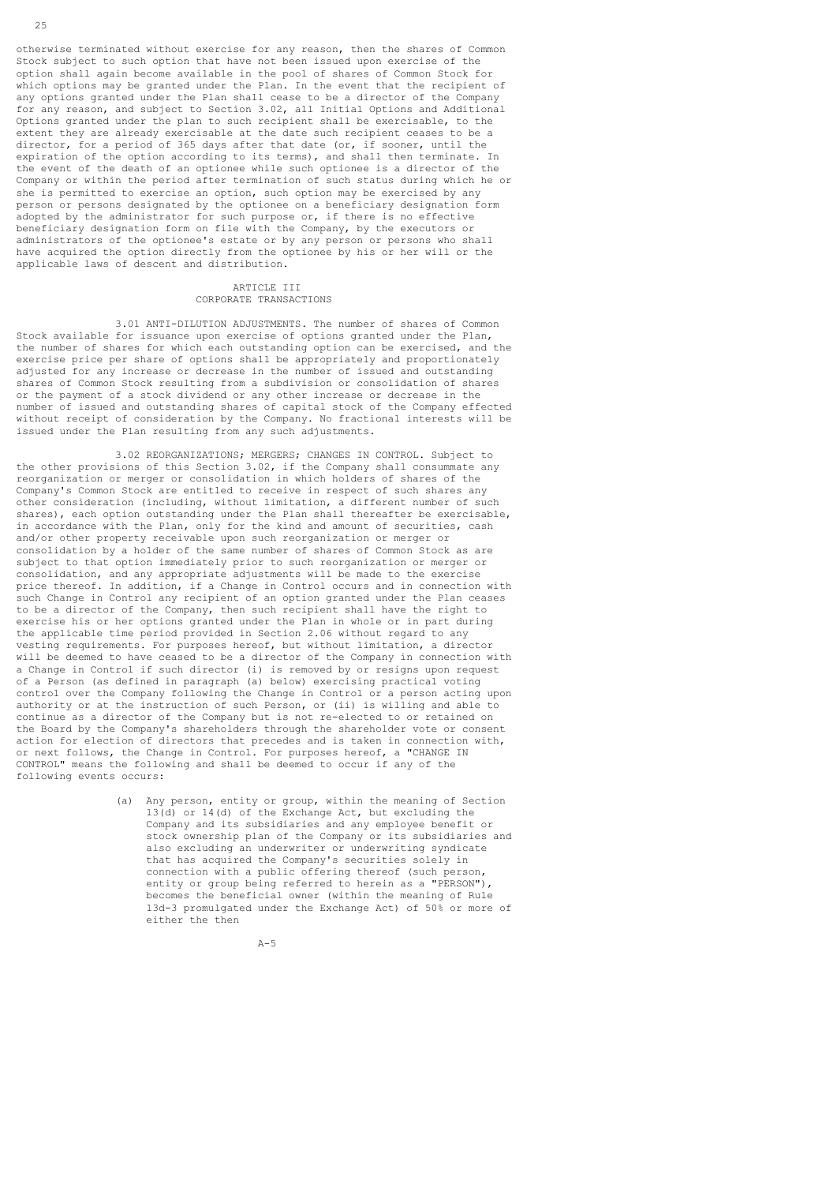otherwise terminated without exercise for any reason, then the shares of Common Stock subject to such option that have not been issued upon exercise of the option shall again become available in the pool of shares of Common Stock for which options may be granted under the Plan. In the event that the recipient of any options granted under the Plan shall cease to be a director of the Company for any reason, and subject to Section 3.02, all Initial Options and Additional Options granted under the plan to such recipient shall be exercisable, to the extent they are already exercisable at the date such recipient ceases to be a director, for a period of 365 days after that date (or, if sooner, until the expiration of the option according to its terms), and shall then terminate. In the event of the death of an optionee while such optionee is a director of the Company or within the period after termination of such status during which he or she is permitted to exercise an option, such option may be exercised by any person or persons designated by the optionee on a beneficiary designation form adopted by the administrator for such purpose or, if there is no effective beneficiary designation form on file with the Company, by the executors or administrators of the optionee's estate or by any person or persons who shall have acquired the option directly from the optionee by his or her will or the applicable laws of descent and distribution.

# ARTICLE III

## CORPORATE TRANSACTIONS

 3.01 ANTI-DILUTION ADJUSTMENTS. The number of shares of Common Stock available for issuance upon exercise of options granted under the Plan, the number of shares for which each outstanding option can be exercised, and the exercise price per share of options shall be appropriately and proportionately adjusted for any increase or decrease in the number of issued and outstanding shares of Common Stock resulting from a subdivision or consolidation of shares or the payment of a stock dividend or any other increase or decrease in the number of issued and outstanding shares of capital stock of the Company effected without receipt of consideration by the Company. No fractional interests will be issued under the Plan resulting from any such adjustments.

 3.02 REORGANIZATIONS; MERGERS; CHANGES IN CONTROL. Subject to the other provisions of this Section 3.02, if the Company shall consummate any reorganization or merger or consolidation in which holders of shares of the Company's Common Stock are entitled to receive in respect of such shares any other consideration (including, without limitation, a different number of such shares), each option outstanding under the Plan shall thereafter be exercisable, in accordance with the Plan, only for the kind and amount of securities, cash and/or other property receivable upon such reorganization or merger or consolidation by a holder of the same number of shares of Common Stock as are subject to that option immediately prior to such reorganization or merger or consolidation, and any appropriate adjustments will be made to the exercise price thereof. In addition, if a Change in Control occurs and in connection with such Change in Control any recipient of an option granted under the Plan ceases to be a director of the Company, then such recipient shall have the right to exercise his or her options granted under the Plan in whole or in part during the applicable time period provided in Section 2.06 without regard to any vesting requirements. For purposes hereof, but without limitation, a director will be deemed to have ceased to be a director of the Company in connection with a Change in Control if such director (i) is removed by or resigns upon request of a Person (as defined in paragraph (a) below) exercising practical voting control over the Company following the Change in Control or a person acting upon authority or at the instruction of such Person, or (ii) is willing and able to continue as a director of the Company but is not re-elected to or retained on the Board by the Company's shareholders through the shareholder vote or consent action for election of directors that precedes and is taken in connection with, or next follows, the Change in Control. For purposes hereof, a "CHANGE IN CONTROL" means the following and shall be deemed to occur if any of the following events occurs:

> (a) Any person, entity or group, within the meaning of Section 13(d) or 14(d) of the Exchange Act, but excluding the Company and its subsidiaries and any employee benefit or stock ownership plan of the Company or its subsidiaries and also excluding an underwriter or underwriting syndicate that has acquired the Company's securities solely in connection with a public offering thereof (such person, entity or group being referred to herein as a "PERSON"), becomes the beneficial owner (within the meaning of Rule 13d-3 promulgated under the Exchange Act) of 50% or more of either the then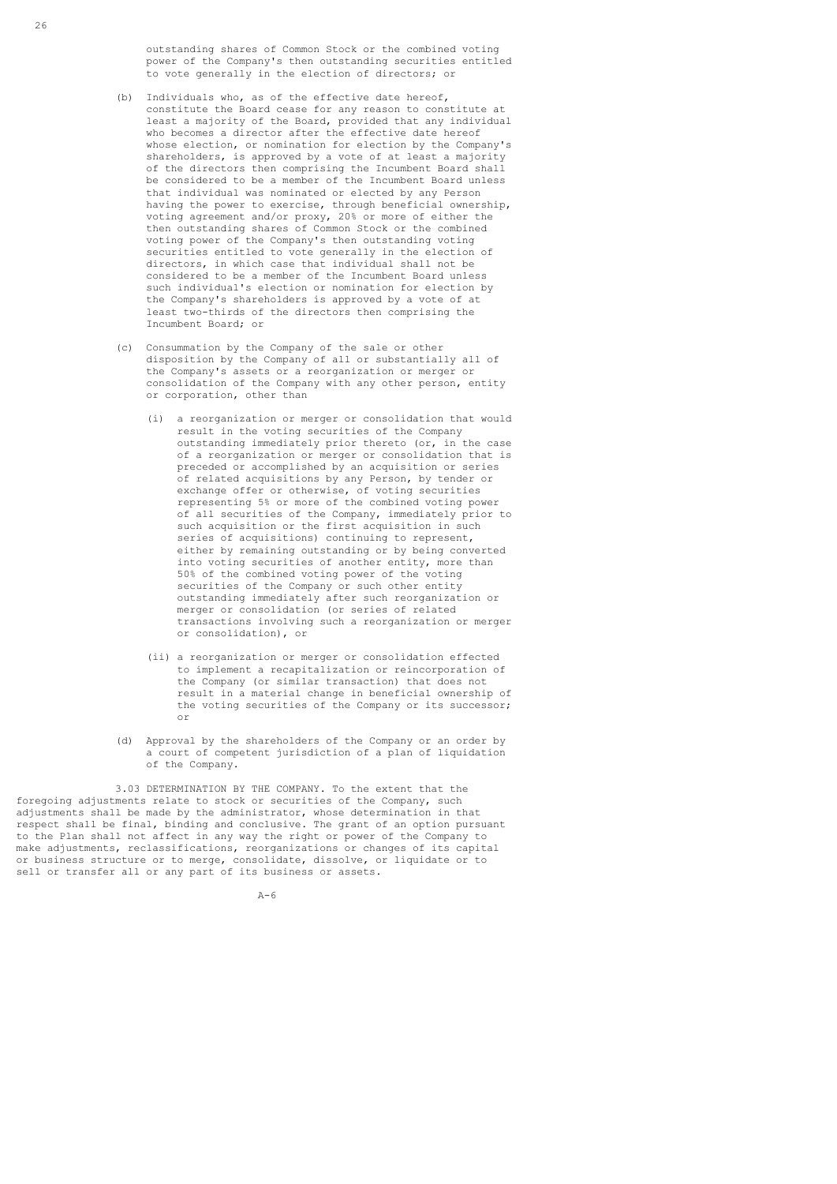outstanding shares of Common Stock or the combined voting power of the Company's then outstanding securities entitled to vote generally in the election of directors; or

- (b) Individuals who, as of the effective date hereof, constitute the Board cease for any reason to constitute at least a majority of the Board, provided that any individual who becomes a director after the effective date hereof whose election, or nomination for election by the Company's shareholders, is approved by a vote of at least a majority of the directors then comprising the Incumbent Board shall be considered to be a member of the Incumbent Board unless that individual was nominated or elected by any Person having the power to exercise, through beneficial ownership, voting agreement and/or proxy, 20% or more of either the then outstanding shares of Common Stock or the combined voting power of the Company's then outstanding voting securities entitled to vote generally in the election of directors, in which case that individual shall not be considered to be a member of the Incumbent Board unless such individual's election or nomination for election by the Company's shareholders is approved by a vote of at least two-thirds of the directors then comprising the Incumbent Board; or
- (c) Consummation by the Company of the sale or other disposition by the Company of all or substantially all of the Company's assets or a reorganization or merger or consolidation of the Company with any other person, entity or corporation, other than
	- (i) a reorganization or merger or consolidation that would result in the voting securities of the Company outstanding immediately prior thereto (or, in the case of a reorganization or merger or consolidation that is preceded or accomplished by an acquisition or series of related acquisitions by any Person, by tender or exchange offer or otherwise, of voting securities representing 5% or more of the combined voting power of all securities of the Company, immediately prior to such acquisition or the first acquisition in such series of acquisitions) continuing to represent, either by remaining outstanding or by being converted into voting securities of another entity, more than 50% of the combined voting power of the voting securities of the Company or such other entity outstanding immediately after such reorganization or merger or consolidation (or series of related transactions involving such a reorganization or merger or consolidation), or
- (ii) a reorganization or merger or consolidation effected to implement a recapitalization or reincorporation of the Company (or similar transaction) that does not result in a material change in beneficial ownership of the voting securities of the Company or its successor; or
	- (d) Approval by the shareholders of the Company or an order by a court of competent jurisdiction of a plan of liquidation of the Company.

 3.03 DETERMINATION BY THE COMPANY. To the extent that the foregoing adjustments relate to stock or securities of the Company, such adjustments shall be made by the administrator, whose determination in that respect shall be final, binding and conclusive. The grant of an option pursuant to the Plan shall not affect in any way the right or power of the Company to make adjustments, reclassifications, reorganizations or changes of its capital or business structure or to merge, consolidate, dissolve, or liquidate or to sell or transfer all or any part of its business or assets.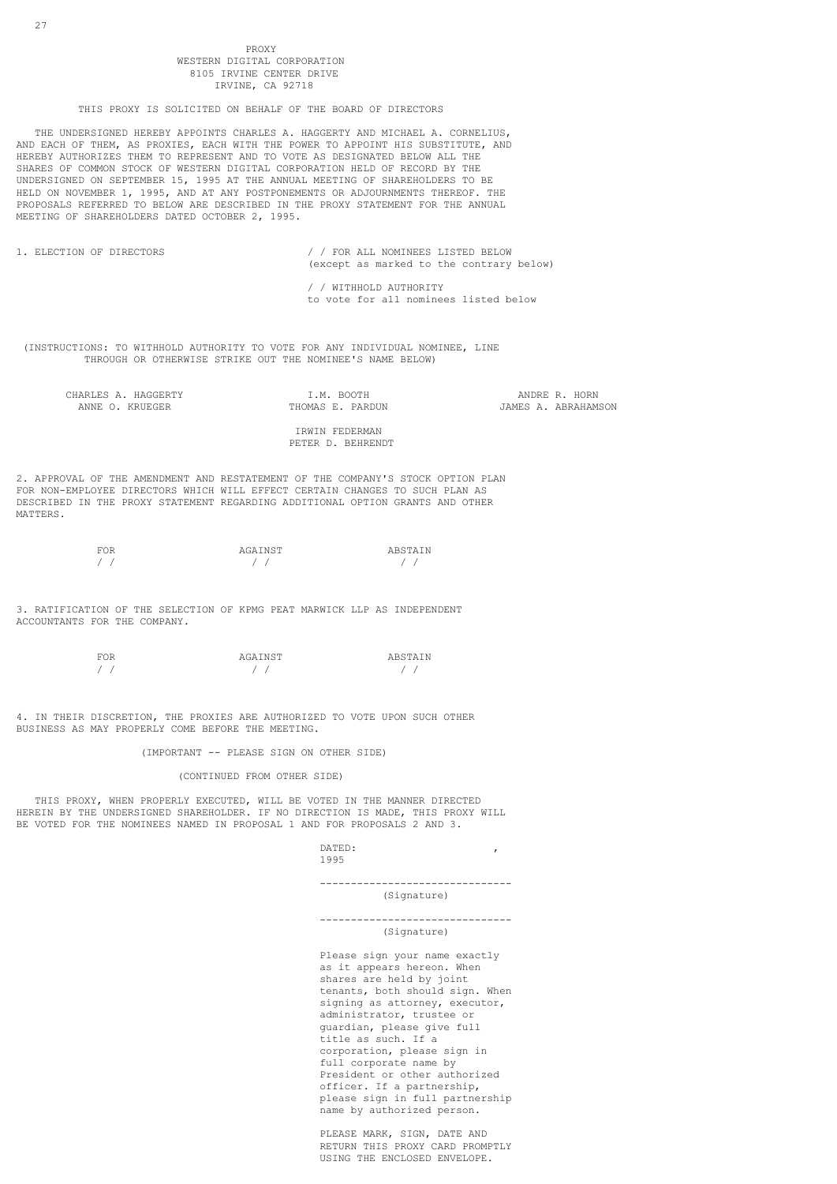### PROXY PROXY WESTERN DICITAL CORPORATION 8105 IRVINE CENTER DRIVE IRVINE, CA 92718

### THIS PROXY IS SOLICITED ON BEHALF OF THE BOARD OF DIRECTORS

 THE UNDERSIGNED HEREBY APPOINTS CHARLES A. HAGGERTY AND MICHAEL A. CORNELIUS, AND EACH OF THEM, AS PROXIES, EACH WITH THE POWER TO APPOINT HIS SUBSTITUTE, AND HEREBY AUTHORIZES THEM TO REPRESENT AND TO VOTE AS DESIGNATED BELOW ALL THE SHARES OF COMMON STOCK OF WESTERN DIGITAL CORPORATION HELD OF RECORD BY THE UNDERSIGNED ON SEPTEMBER 15, 1995 AT THE ANNUAL MEETING OF SHAREHOLDERS TO BE HELD ON NOVEMBER 1, 1995, AND AT ANY POSTPONEMENTS OR ADJOURNMENTS THEREOF. THE PROPOSALS REFERRED TO BELOW ARE DESCRIBED IN THE PROXY STATEMENT FOR THE ANNUAL MEETING OF SHAREHOLDERS DATED OCTOBER 2, 1995.

| 1. ELECTION OF DIRECTORS                                                                                                                   | FOR ALL NOMINEES LISTED BELOW<br>(except as marked to the contrary below) |
|--------------------------------------------------------------------------------------------------------------------------------------------|---------------------------------------------------------------------------|
|                                                                                                                                            | WITHHOLD AUTHORITY<br>to vote for all nominees listed below               |
| (INSTRUCTIONS: TO WITHHOLD AUTHORITY TO VOTE FOR ANY INDIVIDUAL NOMINEE, LINE<br>THROUGH OR OTHERWISE STRIKE OUT THE NOMINEE'S NAME BELOW) |                                                                           |

CHARLES A. HAGGERTY I.M. BOOTH ANDRE R. HORN

JAMES A. ABRAHAMSON

 IRWIN FEDERMAN PETER D. BEHRENDT

2. APPROVAL OF THE AMENDMENT AND RESTATEMENT OF THE COMPANY'S STOCK OPTION PLAN FOR NON-EMPLOYEE DIRECTORS WHICH WILL EFFECT CERTAIN CHANGES TO SUCH PLAN AS DESCRIBED IN THE PROXY STATEMENT REGARDING ADDITIONAL OPTION GRANTS AND OTHER MATTERS.

| <b>FOR</b> | AGAINST | ARSTAIN |
|------------|---------|---------|
|            |         |         |
|            |         |         |

3. RATIFICATION OF THE SELECTION OF KPMG PEAT MARWICK LLP AS INDEPENDENT ACCOUNTANTS FOR THE COMPANY.

| "OR<br>⊶ | AGAINST | ARSTAIN<br>----- |
|----------|---------|------------------|
|          |         |                  |

4. IN THEIR DISCRETION, THE PROXIES ARE AUTHORIZED TO VOTE UPON SUCH OTHER BUSINESS AS MAY PROPERLY COME BEFORE THE MEETING.

(IMPORTANT -- PLEASE SIGN ON OTHER SIDE)

## (CONTINUED FROM OTHER SIDE)

 THIS PROXY, WHEN PROPERLY EXECUTED, WILL BE VOTED IN THE MANNER DIRECTED HEREIN BY THE UNDERSIGNED SHAREHOLDER. IF NO DIRECTION IS MADE, THIS PROXY WILL BE VOTED FOR THE NOMINEES NAMED IN PROPOSAL 1 AND FOR PROPOSALS 2 AND 3.

defined a set of  $\mathbb{R}^n$  . The contract of  $\mathbb{R}^n$  is the contract of  $\mathbb{R}^n$  ,  $\mathbb{R}^n$ 1995

-------------------------------

# (Signature)

## ------------------------------- (Signature)

 Please sign your name exactly as it appears hereon. When shares are held by joint tenants, both should sign. When signing as attorney, executor, administrator, trustee or guardian, please give full title as such. If a corporation, please sign in full corporate name by President or other authorized officer. If a partnership, please sign in full partnership name by authorized person.

 PLEASE MARK, SIGN, DATE AND RETURN THIS PROXY CARD PROMPTLY USING THE ENCLOSED ENVELOPE.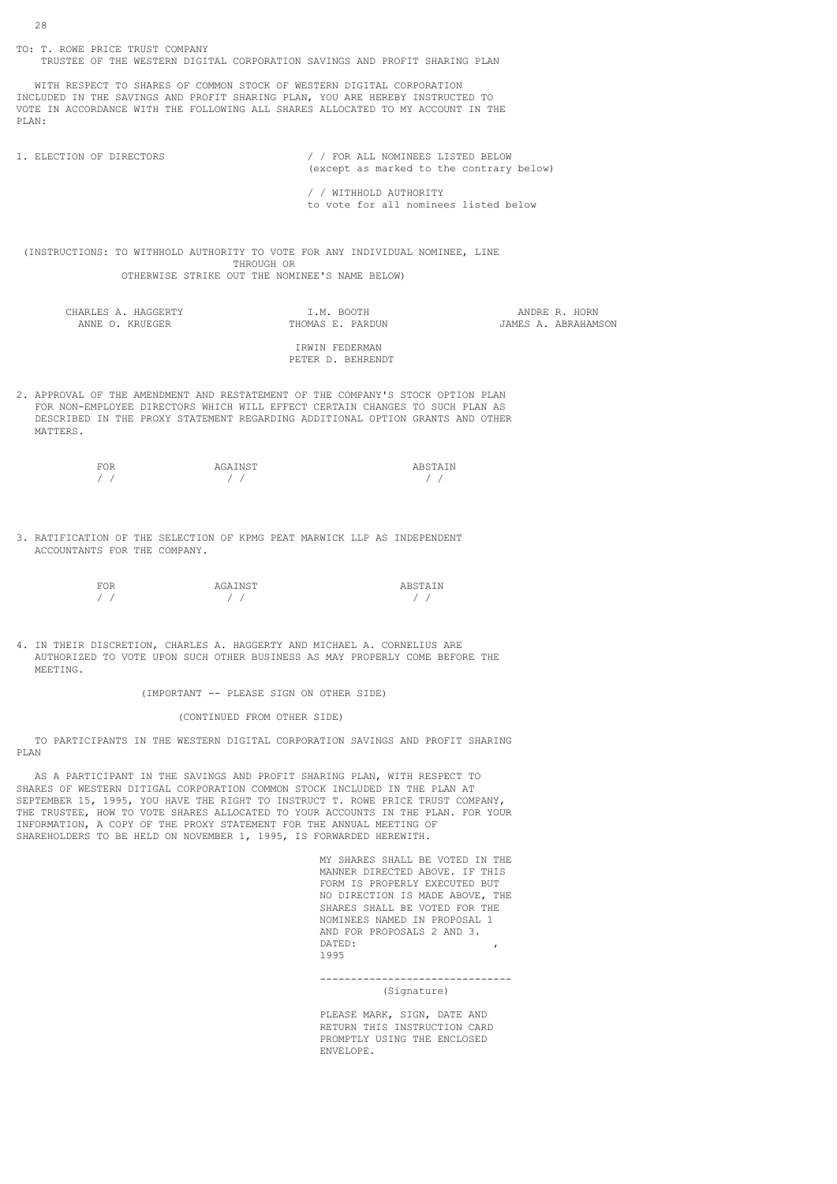TO: T. ROWE PRICE TRUST COMPANY TRUSTEE OF THE WESTERN DIGITAL CORPORATION SAVINGS AND PROFIT SHARING PLAN WITH RESPECT TO SHARES OF COMMON STOCK OF WESTERN DIGITAL CORPORATION INCLUDED IN THE SAVINGS AND PROFIT SHARING PLAN, YOU ARE HEREBY INSTRUCTED TO VOTE IN ACCORDANCE WITH THE FOLLOWING ALL SHARES ALLOCATED TO MY ACCOUNT IN THE PLAN: 1. ELECTION OF DIRECTORS / / FOR ALL NOMINEES LISTED BELOW (except as marked to the contrary below) / / WITHHOLD AUTHORITY to vote for all nominees listed below (INSTRUCTIONS: TO WITHHOLD AUTHORITY TO VOTE FOR ANY INDIVIDUAL NOMINEE, LINE THROUGH OR OTHERWISE STRIKE OUT THE NOMINEE'S NAME BELOW) CHARLES A. HAGGERTY I.M. BOOTH ANDRE R. HORN JAMES A. ABRAHAMSON IRWIN FEDERMAN PETER D. BEHRENDT 2. APPROVAL OF THE AMENDMENT AND RESTATEMENT OF THE COMPANY'S STOCK OPTION PLAN FOR NON-EMPLOYEE DIRECTORS WHICH WILL EFFECT CERTAIN CHANGES TO SUCH PLAN AS DESCRIBED IN THE PROXY STATEMENT REGARDING ADDITIONAL OPTION GRANTS AND OTHER MATTERS.

| 70R<br>. H.L | AGAINST | ARSTAIN<br>. |
|--------------|---------|--------------|
|              |         |              |

3. RATIFICATION OF THE SELECTION OF KPMG PEAT MARWICK LLP AS INDEPENDENT ACCOUNTANTS FOR THE COMPANY.

| FOR | AGAINST | ABSTAIN |
|-----|---------|---------|
|     |         |         |

4. IN THEIR DISCRETION, CHARLES A. HAGGERTY AND MICHAEL A. CORNELIUS ARE AUTHORIZED TO VOTE UPON SUCH OTHER BUSINESS AS MAY PROPERLY COME BEFORE THE MEETING.

(IMPORTANT -- PLEASE SIGN ON OTHER SIDE)

(CONTINUED FROM OTHER SIDE)

 TO PARTICIPANTS IN THE WESTERN DIGITAL CORPORATION SAVINGS AND PROFIT SHARING PLAN

 AS A PARTICIPANT IN THE SAVINGS AND PROFIT SHARING PLAN, WITH RESPECT TO SHARES OF WESTERN DITIGAL CORPORATION COMMON STOCK INCLUDED IN THE PLAN AT SEPTEMBER 15, 1995, YOU HAVE THE RIGHT TO INSTRUCT T. ROWE PRICE TRUST COMPANY, THE TRUSTEE, HOW TO VOTE SHARES ALLOCATED TO YOUR ACCOUNTS IN THE PLAN. FOR YOUR INFORMATION, A COPY OF THE PROXY STATEMENT FOR THE ANNUAL MEETING OF SHAREHOLDERS TO BE HELD ON NOVEMBER 1, 1995, IS FORWARDED HEREWITH.

 MY SHARES SHALL BE VOTED IN THE MANNER DIRECTED ABOVE. IF THIS FORM IS PROPERLY EXECUTED BUT NO DIRECTION IS MADE ABOVE, THE SHARES SHALL BE VOTED FOR THE NOMINEES NAMED IN PROPOSAL 1 AND FOR PROPOSALS 2 AND 3.<br>DATED: defined a set of  $\mathbb{R}^n$  . The contract of  $\mathbb{R}^n$  is the contract of  $\mathbb{R}^n$  ,  $\mathbb{R}^n$ 1995

-------------------------------

(Signature)

 PLEASE MARK, SIGN, DATE AND RETURN THIS INSTRUCTION CARD PROMPTLY USING THE ENCLOSED ENVELOPE.